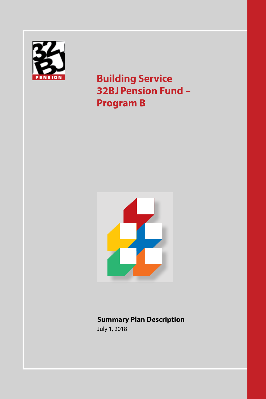

**Building Service 32BJPension Fund – Program B**



## **Summary Plan Description**

July 1, 2018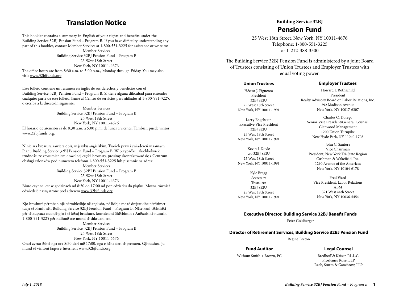## **Translation Notice**

This booklet contains a summary in English of your rights and benefits under the Building Service 32BJ Pension Fund – Program B. If you have difficulty understanding any part of this booklet, contact Member Services at 1-800-551-3225 for assistance or write to: Member Services Building Service 32BJ Pension Fund – Program B 25 West 18th Street New York, NY 10011-4676 The office hours are from 8:30 a.m. to 5:00 p.m., Monday through Friday. You may also visit www.32bjfunds.org.

Este folleto contiene un resumen en inglés de sus derechos y beneficios con el Building Service 32BJ Pension Fund – Program B. Si tiene alguna dificultad para entender cualquier parte de este folleto, llame al Centro de servicios para afiliados al 1-800-551-3225, o escriba a la dirección siguiente:

Member Services Building Service 32BJ Pension Fund – Program B 25 West 18th Street New York, NY 10011-4676 El horario de atención es de 8:30 a.m. a 5:00 p.m. de lunes a viernes. También puede visitor www.32bjfunds.org.

Niniejsza broszura zawiera opis, w języku angielskim, Twoich praw i świadczeń w ramach Planu Building Service 32BJ Pension Fund – Program B. W przypadku jakichkolwiek trudności ze zrozumieniem dowolnej części broszury, prosimy skontaktować się z Centrum obsługi członków pod numerem telefonu 1-800-551-3225 lub pisemnie na adres: Member Services Building Service 32BJ Pension Fund – Program B 25 West 18th Street New York, NY 10011-4676 Biuro czynne jest w godzinach od 8:30 do 17:00 od poniedziałku do piątku. Można również odwiedzić naszą stronę pod adresem www.32bjfunds.org.

Kjo broshurë përmban një përmbledhje në anglisht, në lidhje me të drejtat dhe përfitimet tuaja të Planit nën Building Service 32BJ Pension Fund – Program B. Nëse keni vështirësi për të kuptuar ndonjë pjesë të kësaj broshure, kontaktoni Shërbimin e Anëtarit në numrin 1-800-551-3225 për ndihmë ose mund të shkruani tek: Member Services Building Service 32BJ Pension Fund – Program B 25 West 18th Street New York, NY 10011-4676 Orari zyrtar është nga ora 8:30 deri më 17:00, nga e hëna deri të premten. Gjithashtu, ju mund të vizitoni faqen e Internetit www.32bjfunds.org.

## **Building Service 32BJ Pension Fund**

25 West 18th Street, New York, NY 10011-4676 Telephone: 1-800-551-3225 or 1-212-388-3500

The Building Service 32BJ Pension Fund is administered by a joint Board of Trustees consisting of Union Trustees and Employer Trustees with equal voting power. **Member Services Building Service 32BJ Pension Fund is administered**  $\mathcal{L}$ 

#### **Union Trustees**

Héctor J. Figueroa President 32BJ SEIU 25 West 18th Street New York, NY 10011-1991

Larry Engelstein Executive Vice President 32BJ SEIU 25 West 18th Street New York, NY 10011-1991

Kevin J. Doyle c/o 32BJ SEIU 25 West 18th Street New York, NY 10011-1991

Kyle Bragg Secretary Treasurer 32BJ SEIU 25 West 18th Street New York, NY 10011-1991

#### **Employer Trustees**

Howard I. Rothschild President Realty Advisory Board on Labor Relations, Inc. 292 Madison Avenue New York, NY 10017-6307

Charles C. Dorego Senior Vice President/General Counsel Glenwood Management 1200 Union Turnpike New Hyde Park, NY 11040-1708

John C. Santora Vice Chairman President, New York Tri-State Region Cushman & Wakefield, Inc. 1290 Avenue of the Americas New York, NY 10104-6178

Fred Ward Vice President, Labor Relations ABM 321 West 44th Street New York, NY 10036-5454

#### **Executive Director, Building Service 32BJ Benefit Funds**

Peter Goldberger

#### **Director of Retirement Services, Building Service 32BJ Pension Fund**

Régine Breton

#### **Fund Auditor**

## **Legal Counsel**

Withum Smith + Brown, PC

Bredhoff & Kaiser, P.L.L.C. Proskauer Rose, LLP Raab, Sturm & Ganchrow, LLP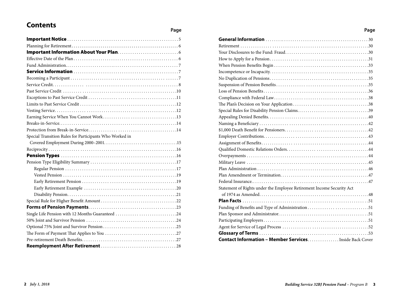# **Contents**

| Special Transition Rules for Participants Who Worked in |  |
|---------------------------------------------------------|--|
|                                                         |  |
|                                                         |  |
|                                                         |  |
|                                                         |  |
|                                                         |  |
|                                                         |  |
|                                                         |  |
|                                                         |  |
|                                                         |  |
|                                                         |  |
|                                                         |  |
| Single Life Pension with 12 Months Guaranteed 24        |  |
|                                                         |  |
|                                                         |  |
|                                                         |  |
|                                                         |  |
|                                                         |  |

**Page**

| Statement of Rights under the Employee Retirement Income Security Act |  |
|-----------------------------------------------------------------------|--|
|                                                                       |  |
|                                                                       |  |
|                                                                       |  |
|                                                                       |  |
|                                                                       |  |
|                                                                       |  |
|                                                                       |  |
| <b>Contact Information - Member Services Inside Back Cover</b>        |  |

**Page**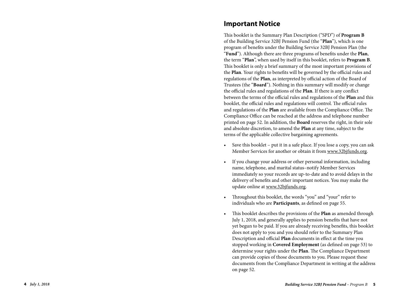## **Important Notice**

This booklet is the Summary Plan Description ("SPD") of **Program B** of the Building Service 32BJ Pension Fund (the "**Plan**"), which is one program of benefits under the Building Service 32BJ Pension Plan (the "**Fund**"). Although there are three programs of benefits under the **Plan**, the term "**Plan**", when used by itself in this booklet, refers to **Program B**. This booklet is only a brief summary of the most important provisions of the **Plan**. Your rights to benefits will be governed by the official rules and regulations of the **Plan**, as interpreted by official action of the Board of Trustees (the "**Board**"). Nothing in this summary will modify or change the official rules and regulations of the **Plan**. If there is any conflict between the terms of the official rules and regulations of the **Plan** and this booklet, the official rules and regulations will control. The official rules and regulations of the **Plan** are available from the Compliance Office. The Compliance Office can be reached at the address and telephone number printed on page 52. In addition, the **Board** reserves the right, in their sole and absolute discretion, to amend the **Plan** at any time, subject to the terms of the applicable collective bargaining agreements.

- Save this booklet put it in a safe place. If you lose a copy, you can ask Member Services for another or obtain it from www.32bjfunds.org.
- If you change your address or other personal information, including name, telephone, and marital status–notify Member Services immediately so your records are up-to-date and to avoid delays in the delivery of benefits and other important notices. You may make the update online at www.32bjfunds.org.
- Throughout this booklet, the words "you" and "your" refer to individuals who are **Participants**, as defined on page 55.
- This booklet describes the provisions of the **Plan** as amended through July 1, 2018, and generally applies to pension benefits that have not yet begun to be paid. If you are already receiving benefits, this booklet does not apply to you and you should refer to the Summary Plan Description and official **Plan** documents in effect at the time you stopped working in **Covered Employment** (as defined on page 53) to determine your rights under the **Plan**. The Compliance Department can provide copies of those documents to you. Please request these documents from the Compliance Department in writing at the address on page 52.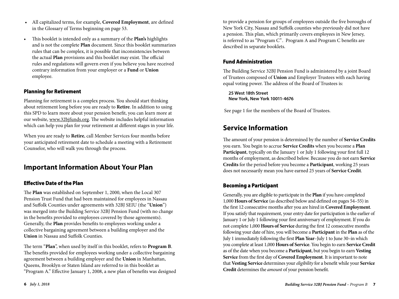- All capitalized terms, for example, **Covered Employment**, are defined in the Glossary of Terms beginning on page 53.
- This booklet is intended only as a summary of the **Plan's** highlights and is not the complete **Plan** document. Since this booklet summarizes rules that can be complex, it is possible that inconsistencies between the actual **Plan** provisions and this booklet may exist. The official rules and regulations will govern even if you believe you have received contrary information from your employer or a **Fund** or **Union** employee.

## Planning for Retirement

Planning for retirement is a complex process. You should start thinking about retirement long before you are ready to **Retire**. In addition to using this SPD to learn more about your pension benefit, you can learn more at our website, www.32bjfunds.org. The website includes helpful information which can help you plan for your retirement at different stages in your life.

When you are ready to **Retire**, call Member Services four months before your anticipated retirement date to schedule a meeting with a Retirement Counselor, who will walk you through the process.

# **Important Information About Your Plan**

## Effective Date of the Plan

The **Plan** was established on September 1, 2000, when the Local 307 Pension Trust Fund that had been maintained for employees in Nassau and Suffolk Counties under agreements with 32BJ SEIU (the "**Union**") was merged into the Building Service 32BJ Pension Fund (with no change in the benefits provided to employees covered by those agreements). Generally, the **Plan** provides benefits to employees working under a collective bargaining agreement between a building employer and the **Union** in Nassau and Suffolk Counties.

The term "**Plan**", when used by itself in this booklet, refers to **Program B**. The benefits provided for employees working under a collective bargaining agreement between a building employer and the **Union** in Manhattan, Queens, Brooklyn or Staten Island are referred to in this booklet as "Program A." Effective January 1, 2008, a new plan of benefits was designed to provide a pension for groups of employees outside the five boroughs of New York City, Nassau and Suffolk counties who previously did not have a pension. This plan, which primarily covers employees in New Jersey, is referred to as "Program C". Program A and Program C benefits are described in separate booklets.

## Fund Administration

The Building Service 32BJ Pension Fund is administered by a joint Board of Trustees composed of **Union** and Employer Trustees with each having equal voting power. The address of the Board of Trustees is:

**25 West 18th Street New York, New York 10011-4676**

See page 1 for the members of the Board of Trustees.

# **Service Information**

The amount of your pension is determined by the number of **Service Credits** you earn. You begin to accrue **Service Credits** when you become a **Plan Participant**, typically on the January 1 or July 1 following your first full 12 months of employment, as described below. Because you do not earn **Service Credits** for the period before you become a **Participant**, working 25 years does not necessarily mean you have earned 25 years of **Service Credit**.

## Becoming a Participant

Generally, you are eligible to participate in the **Plan** if you have completed 1,000 **Hours of Service** (as described below and defined on pages 54–55) in the first 12 consecutive months after you are hired in **Covered Employment**. If you satisfy that requirement, your entry date for participation is the earlier of January 1 or July 1 following your first anniversary of employment. If you do not complete 1,000 **Hours of Service** during the first 12 consecutive months following your date of hire, you will become a **Participant** in the **Plan** as of the July 1 immediately following the first **Plan Year**–July 1 to June 30–in which you complete at least 1,000 **Hours of Service**. You begin to earn **Service Credit** as of the date when you become a **Participant**, but you begin to earn **Vesting Service** from the first day of **Covered Employment**. It is important to note that **Vesting Service** determines your *eligibility* for a benefit while your **Service Credit** determines the *amount* of your pension benefit.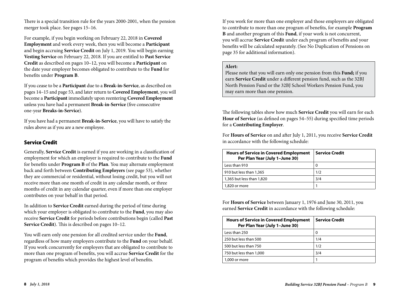There is a special transition rule for the years 2000-2001, when the pension merger took place. See pages 15–16.

For example, if you begin working on February 22, 2018 in **Covered Employment** and work every week, then you will become a **Participant** and begin accruing **Service Credit** on July 1, 2019. You will begin earning **Vesting Service** on February 22, 2018. If you are entitled to **Past Service Credit** as described on pages 10–12, you will become a **Participant** on the date your employer becomes obligated to contribute to the **Fund** for benefits under **Program B**.

If you cease to be a **Participant** due to a **Break-in-Service**, as described on pages 14–15 and page 53, and later return to **Covered Employment**, you will become a **Participant** immediately upon reentering **Covered Employment** unless you have had a permanent **Break-in-Service** (five consecutive one-year **Breaks-in-Service**).

If you have had a permanent **Break-in-Service**, you will have to satisfy the rules above as if you are a new employee.

## Service Credit

Generally, **Service Credit** is earned if you are working in a classification of employment for which an employer is required to contribute to the **Fund** for benefits under **Program B** of the **Plan**. You may alternate employment back and forth between **Contributing Employers** (see page 53), whether they are commercial or residential, without losing credit, but you will not receive more than one month of credit in any calendar month, or three months of credit in any calendar quarter, even if more than one employer contributes on your behalf in that period.

In addition to **Service Credit** earned during the period of time during which your employer is obligated to contribute to the **Fund**, you may also receive **Service Credit** for periods before contributions begin (called **Past Service Credit**). This is described on pages 10–12.

You will earn only one pension for all credited service under the **Fund**, regardless of how many employers contribute to the **Fund** on your behalf. If you work concurrently for employers that are obligated to contribute to more than one program of benefits, you will accrue **Service Credit** for the program of benefits which provides the highest level of benefits.

If you work for more than one employer and those employers are obligated to contribute to more than one program of benefits, for example **Program B** and another program of this **Fund**, if your work is not concurrent, you will accrue **Service Credi**t under each program of benefits and your benefits will be calculated separately. (See No Duplication of Pensions on page 35 for additional information).

#### **Alert:**

Please note that you will earn only one pension from this **Fund;** if you earn **Service Credit** under a different pension fund, such as the 32BJ North Pension Fund or the 32BJ School Workers Pension Fund, you may earn more than one pension.

The following tables show how much **Service Credit** you will earn for each **Hour of Service** (as defined on pages 54–55) during specified time periods for a **Contributing Employer**.

For **Hours of Service** on and after July 1, 2011, you receive **Service Credit** in accordance with the following schedule:

| <b>Hours of Service in Covered Employment</b><br>Per Plan Year (July 1-June 30) | Service Credit |  |  |  |
|---------------------------------------------------------------------------------|----------------|--|--|--|
| Less than 910                                                                   | 0              |  |  |  |
| 910 but less than 1,365                                                         | 1/2            |  |  |  |
| 1,365 but less than 1,820                                                       | 3/4            |  |  |  |
| 1,820 or more                                                                   |                |  |  |  |

For **Hours of Service** between January 1, 1976 and June 30, 2011, you earned **Service Credit** in accordance with the following schedule:

| <b>Hours of Service in Covered Employment</b><br>Per Plan Year (July 1-June 30) | <b>Service Credit</b> |  |  |  |
|---------------------------------------------------------------------------------|-----------------------|--|--|--|
| Less than 250                                                                   | 0                     |  |  |  |
| 250 but less than 500                                                           | 1/4                   |  |  |  |
| 500 but less than 750                                                           | 1/2                   |  |  |  |
| 750 but less than 1,000                                                         | 3/4                   |  |  |  |
| 1,000 or more                                                                   |                       |  |  |  |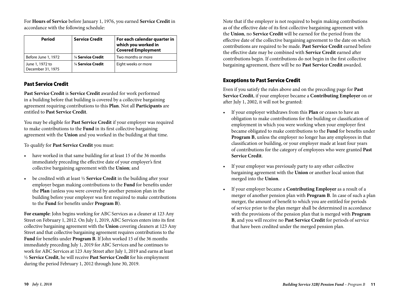For **Hours of Service** before January 1, 1976, you earned **Service Credit** in accordance with the following schedule:

| Period                               | <b>Service Credit</b> | For each calendar quarter in<br>which you worked in<br><b>Covered Employment</b> |
|--------------------------------------|-----------------------|----------------------------------------------------------------------------------|
| Before June 1, 1972                  | 1/4 Service Credit    | Two months or more                                                               |
| June 1, 1972 to<br>December 31, 1975 | 1/4 Service Credit    | Eight weeks or more                                                              |

## Past Service Credit

**Past Service Credit** is **Service Credit** awarded for work performed in a building before that building is covered by a collective bargaining agreement requiring contributions to this **Plan**. Not all **Participants** are entitled to **Past Service Credit**.

You may be eligible for **Past Service Credit** if your employer was required to make contributions to the **Fund** in its first collective bargaining agreement with the **Union** and you worked in the building at that time.

To qualify for **Past Service Credit** you must:

- have worked in that same building for at least 15 of the 36 months immediately preceding the effective date of your employer's first collective bargaining agreement with the **Union**; and
- be credited with at least ½ **Service Credit** in the building after your employer began making contributions to the **Fund** for benefits under the **Plan** (unless you were covered by another pension plan in the building before your employer was first required to make contributions to the **Fund** for benefits under **Program B**).

**For example**: John begins working for ABC Services as a cleaner at 123 Any Street on February 1, 2012. On July 1, 2019, ABC Services enters into its first collective bargaining agreement with the **Union** covering cleaners at 123 Any Street and that collective bargaining agreement requires contributions to the **Fund** for benefits under **Program B**. If John worked 15 of the 36 months immediately preceding July 1, 2019 for ABC Services and he continues to work for ABC Services at 123 Any Street after July 1, 2019 and earns at least ½ **Service Credit**, he will receive **Past Service Credit** for his employment during the period February 1, 2012 through June 30, 2019.

Note that if the employer is not required to begin making contributions as of the effective date of its first collective bargaining agreement with the **Union**, no **Service Credit** will be earned for the period from the effective date of the collective bargaining agreement to the date on which contributions are required to be made. **Past Service Credit** earned before the effective date may be combined with **Service Credit** earned after contributions begin. If contributions do not begin in the first collective bargaining agreement, there will be no **Past Service Credit** awarded.

### Exceptions to Past Service Credit

Even if you satisfy the rules above and on the preceding page for **Past Service Credit**, if your employer became a **Contributing Employer** on or after July 1, 2002, it will not be granted:

- If your employer withdraws from this **Plan** or ceases to have an obligation to make contributions for the building or classification of employment in which you were working when your employer first became obligated to make contributions to the **Fund** for benefits under **Program B**, unless the employer no longer has any employees in that classification or building, or your employer made at least four years of contributions for the category of employees who were granted **Past Service Credit**.
- If your employer was previously party to any other collective bargaining agreement with the **Union** or another local union that merged into the **Union**.
- If your employer became a **Contributing Employer** as a result of a merger of another pension plan with **Program B**. In case of such a plan merger, the amount of benefit to which you are entitled for periods of service prior to the plan merger shall be determined in accordance with the provisions of the pension plan that is merged with **Program B**, and you will receive no **Past Service Credit** for periods of service that have been credited under the merged pension plan.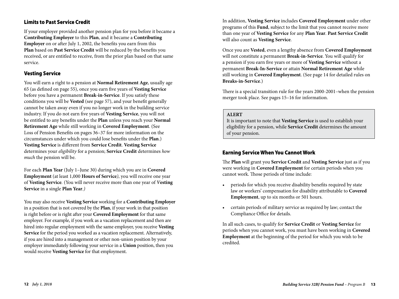## Limits to Past Service Credit

If your employer provided another pension plan for you before it became a **Contributing Employer** to this **Plan**, and it became a **Contributing Employer** on or after July 1, 2002, the benefits you earn from this **Plan** based on **Past Service Credit** will be reduced by the benefits you received, or are entitled to receive, from the prior plan based on that same service.

### Vesting Service

You will earn a right to a pension at **Normal Retirement Age**, usually age 65 (as defined on page 55), once you earn five years of **Vesting Service** before you have a permanent **Break-in-Service**. If you satisfy these conditions you will be **Vested** (see page 57), and your benefit generally cannot be taken away even if you no longer work in the building service industry. If you do not earn five years of **Vesting Service**, you will not be entitled to any benefits under the **Plan** unless you reach your **Normal Retirement Age** while still working in **Covered Employment**. (See Loss of Pension Benefits on pages 36–37 for more information on the circumstances under which you could lose benefits under the **Plan**.) **Vesting Service** is different from **Service Credit**. **Vesting Service** determines your *eligibility* for a pension; **Service Credit** determines *how much* the pension will be.

For each **Plan Year** (July 1–June 30) during which you are in **Covered Employment** (at least 1,000 **Hours of Service***)*, you will receive one year of **Vesting Service***.* (You will never receive more than one year of *V***esting Service** in a single **Plan Year***.)* 

You may also receive **Vesting Service** working for a **Contributing Employer** in a position that is not covered by the **Plan**, if your work in that position is right before or is right after your **Covered Employment** for that same employer. For example, if you work as a vacation replacement and then are hired into regular employment with the same employer, you receive **Vesting Service** for the period you worked as a vacation replacement. Alternatively, if you are hired into a management or other non-union position by your employer immediately following your service in a **Union** position, then you would receive **Vesting Service** for that employment.

In addition, **Vesting Service** includes **Covered Employment** under other programs of this **Fund**, subject to the limit that you cannot receive more than one year of **Vesting Service** for any **Plan Year**. **Past Service Credit** will also count as **Vesting Service**.

Once you are **Vested**, even a lengthy absence from **Covered Employment** will not constitute a permanent **Break-in-Service**. You will qualify for a pension if you earn five years or more of **Vesting Service** without a permanent **Break-In-Service** or attain **Normal Retirement Age** while still working in **Covered Employment**. (See page 14 for detailed rules on **Breaks-in-Service**.)

There is a special transition rule for the years 2000-2001–when the pension merger took place. See pages 15–16 for information.

#### **ALERT**

It is important to note that **Vesting Service** is used to establish your eligibility for a pension, while **Service Credit** determines the amount of your pension.

## Earning Service When You Cannot Work

The **Plan** will grant you **Service Credit** and **Vesting Service** just as if you were working in **Covered Employment** for certain periods when you cannot work. Those periods of time include:

- periods for which you receive disability benefits required by state law or workers' compensation for disability attributable to **Covered Employment**, up to six months or 501 hours.
- certain periods of military service as required by law; contact the Compliance Office for details.

In all such cases, to qualify for **Service Credit** or **Vesting Service** for periods when you cannot work, you must have been working in **Covered Employment** at the beginning of the period for which you wish to be credited.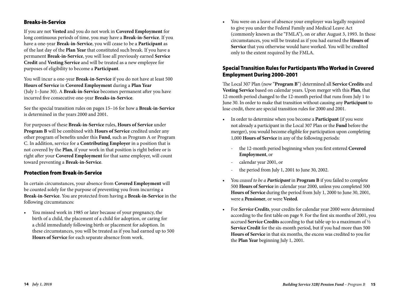## Breaks-in-Service

If you are not **Vested** and you do not work in **Covered Employment** for long continuous periods of time, you may have a **Break-in-Service**. If you have a one-year **Break-in-Service**, you will cease to be a **Participant** as of the last day of the **Plan Year** that constituted such break. If you have a permanent **Break-in-Service**, you will lose all previously earned **Service Credit** and **Vesting Service** and will be treated as a new employee for purposes of eligibility to become a **Participant**.

You will incur a one-year **Break-in-Service** if you do not have at least 500 **Hours of Service** in **Covered Employment** during a **Plan Year** (July 1–June 30). A **Break-in-Service** becomes permanent after you have incurred five consecutive one-year **Breaks-in-Service**.

See the special transition rules on pages 15–16 for how a **Break-in-Service** is determined in the years 2000 and 2001.

For purposes of these **Break-in-Service** rules, **Hours of Service** under **Program B** will be combined with **Hours of Service** credited under any other program of benefits under this **Fund**, such as Program A or Program C. In addition, service for a **Contributing Employer** in a position that is not covered by the **Plan**, if your work in that position is right before or is right after your **Covered Employment** for that same employer, will count toward preventing a **Break-in-Service**.

## Protection from Break-in-Service

In certain circumstances, your absence from **Covered Employment** will be counted solely for the purpose of preventing you from incurring a **Break-in-Service**. You are protected from having a **Break-in-Service** in the following circumstances:

• You missed work in 1985 or later because of your pregnancy, the birth of a child, the placement of a child for adoption, or caring for a child immediately following birth or placement for adoption. In these circumstances, you will be treated as if you had earned up to 500 **Hours of Service** for each separate absence from work.

• You were on a leave of absence your employer was legally required to give you under the Federal Family and Medical Leave Act (commonly known as the "FMLA"), on or after August 3, 1993. In these circumstances, you will be treated as if you had earned the **Hours of Service** that you otherwise would have worked. You will be credited only to the extent required by the FMLA.

## Special Transition Rules for Participants Who Worked in Covered Employment During 2000–2001

The Local 307 Plan (now "**Program B**") determined all **Service Credits** and **Vesting Service** based on calendar years. Upon merger with this **Plan**, that 12-month period changed to the 12-month period that runs from July 1 to June 30. In order to make that transition without causing any **Participant** to lose credit, there are special transition rules for 2000 and 2001.

- In order to determine when you become a **Participant** (if you were not already a participant in the Local 307 Plan or the **Fund** before the merger), you would become eligible for participation upon completing 1,000 **Hours of Service** in any of the following periods:
	- the 12-month period beginning when you first entered **Covered Employment**, or
	- calendar year 2001, or
	- the period from July 1, 2001 to June 30, 2002.
- You *ceased to be a Participant* in **Program B** if you failed to complete 500 **Hours of Service** in calendar year 2000, unless you completed 500 **Hours of Service** during the period from July 1, 2000 to June 30, 2001, were a **Pensioner**, or were **Vested**.
- For *Service Credits*, your credits for calendar year 2000 were determined according to the first table on page 9. For the first six months of 2001, you accrued **Service Credits** according to that table up to a maximum of ½ **Service Credit** for the six-month period, but if you had more than 500 **Hours of Service** in that six months, the excess was credited to you for the **Plan Year** beginning July 1, 2001.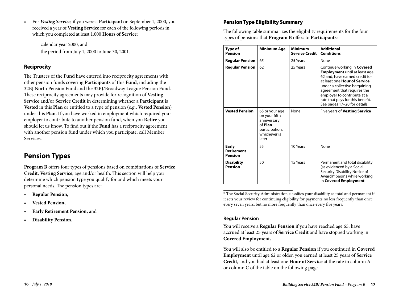- For *Vesting Service*, if you were a **Participant** on September 1, 2000, you received a year of **Vesting Service** for each of the following periods in which you completed at least 1,000 **Hours of Service**:
	- calendar year 2000, and
	- the period from July 1, 2000 to June 30, 2001.

## Reciprocity

The Trustees of the **Fund** have entered into reciprocity agreements with other pension funds covering **Participants** of this **Fund**, including the 32BJ North Pension Fund and the 32BJ/Broadway League Pension Fund. These reciprocity agreements may provide for recognition of **Vesting Service** and/or **Service Credit** in determining whether a **Participant** is **Vested** in this **Plan** or entitled to a type of pension (e.g., **Vested Pension**) under this **Plan**. If you have worked in employment which required your employer to contribute to another pension fund, when you **Retire** you should let us know. To find out if the **Fund** has a reciprocity agreement with another pension fund under which you participate, call Member Services.

# **Pension Types**

**Program B** offers four types of pensions based on combinations of **Service Credit**, **Vesting Service**, age and/or health. This section will help you determine which pension type you qualify for and which meets your personal needs. The pension types are:

- **Regular Pension,**
- **• Vested Pension,**
- **• Early Retirement Pension,** and
- **• Disability Pension.**

## Pension Type Eligibility Summary

The following table summarizes the eligibility requirements for the four types of pensions that **Program B** offers to **Participants**:

| <b>Type of</b><br><b>Pension</b>             | Minimum Age                                                                                          | <b>Minimum</b><br><b>Service Credit</b> | <b>Additional</b><br><b>Conditions</b>                                                                                                                                                                                                                                                                                 |
|----------------------------------------------|------------------------------------------------------------------------------------------------------|-----------------------------------------|------------------------------------------------------------------------------------------------------------------------------------------------------------------------------------------------------------------------------------------------------------------------------------------------------------------------|
| <b>Regular Pension</b>                       | 65                                                                                                   | 25 Years                                | None                                                                                                                                                                                                                                                                                                                   |
| <b>Regular Pension</b>                       | 62                                                                                                   | 25 Years                                | Continue working in <b>Covered</b><br><b>Employment</b> until at least age<br>62 and, have earned credit for<br>at least one <b>Hour of Service</b><br>under a collective bargaining<br>agreement that requires the<br>employer to contribute at a<br>rate that pays for this benefit.<br>See pages 17-20 for details. |
| <b>Vested Pension</b>                        | 65 or your age<br>on your fifth<br>anniversary<br>of Plan<br>participation,<br>whichever is<br>later | None                                    | Five years of Vesting Service                                                                                                                                                                                                                                                                                          |
| Early<br><b>Retirement</b><br><b>Pension</b> | 55                                                                                                   | 10 Years                                | None                                                                                                                                                                                                                                                                                                                   |
| <b>Disability</b><br><b>Pension</b>          | 50                                                                                                   | 15 Years                                | Permanent and total disability<br>(as evidenced by a Social<br>Security Disability Notice of<br>Award)* begins while working<br>in Covered Employment.                                                                                                                                                                 |

\* The Social Security Administration classifies your disability as total and permanent if it sets your review for continuing eligibility for payments no less frequently than once every seven years, but no more frequently than once every five years.

## **Regular Pension**

You will receive a **Regular Pension** if you have reached age 65, have accrued at least 25 years of **Service Credit** and have stopped working in **Covered Employment.** 

You will also be entitled to a **Regular Pension** if you continued in **Covered Employment** until age 62 or older, you earned at least 25 years of **Service Credit**, and you had at least one **Hour of Service** at the rate in column A or column C of the table on the following page.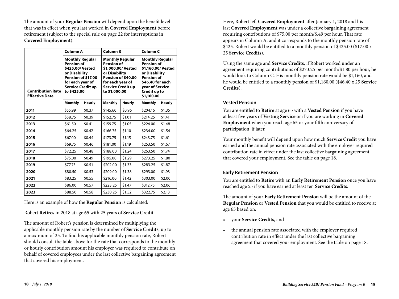The amount of your **Regular Pension** will depend upon the benefit level that was in effect when you last worked in **Covered Employment** before retirement (subject to the special rule on page 22 for interruptions in **Covered Employment**).

|                                                   | Column A                                                                                                                                                              |        | <b>Column B</b>                                                                                                                                             |        | Column <sub>C</sub>                                                                                                                                                          |        |  |
|---------------------------------------------------|-----------------------------------------------------------------------------------------------------------------------------------------------------------------------|--------|-------------------------------------------------------------------------------------------------------------------------------------------------------------|--------|------------------------------------------------------------------------------------------------------------------------------------------------------------------------------|--------|--|
| <b>Contribution Rate</b><br><b>Effective Date</b> | <b>Monthly Regular</b><br><b>Pension of</b><br>\$425.00/ Vested<br>or Disability<br>Pension of \$17.00<br>for each year of<br><b>Service Credit up</b><br>to \$425.00 |        | <b>Monthly Regular</b><br>Pension of<br>\$1,000.00/ Vested<br>or Disability<br>Pension of \$40.00<br>for each year of<br>Service Credit up<br>to \$1,000.00 |        | <b>Monthly Regular</b><br><b>Pension of</b><br>\$1,160.00/ Vested<br>or Disability<br><b>Pension of</b><br>\$46.40 for each<br>year of Service<br>Credit up to<br>\$1,160.00 |        |  |
| <b>Monthly</b>                                    |                                                                                                                                                                       | Hourly | <b>Monthly</b><br><b>Hourly</b>                                                                                                                             |        | Monthly                                                                                                                                                                      | Hourly |  |
| 2011                                              | \$55.99<br>\$0.37                                                                                                                                                     |        | \$145.60                                                                                                                                                    | \$0.96 | \$204.16                                                                                                                                                                     | \$1.35 |  |
| 2012                                              | \$58.75<br>\$0.39                                                                                                                                                     |        | \$152.75                                                                                                                                                    | \$1.01 | \$214.25                                                                                                                                                                     | \$1.41 |  |
| 2013                                              | \$61.50<br>\$0.41                                                                                                                                                     |        | \$159.75                                                                                                                                                    | \$1.05 | \$224.00                                                                                                                                                                     | \$1.48 |  |
| 2014                                              | \$64.25<br>\$0.42                                                                                                                                                     |        | \$166.75                                                                                                                                                    | \$1.10 | \$234.00                                                                                                                                                                     | \$1.54 |  |
| 2015                                              | \$67.00<br>\$0.44                                                                                                                                                     |        | \$173.75<br>\$1.15                                                                                                                                          |        | \$243.75                                                                                                                                                                     | \$1.61 |  |
| 2016                                              | \$69.75<br>\$0.46                                                                                                                                                     |        | \$181.00<br>\$1.19                                                                                                                                          |        | \$253.50                                                                                                                                                                     | \$1.67 |  |
| 2017                                              | \$72.25<br>\$0.48                                                                                                                                                     |        | \$188.00<br>\$1.24                                                                                                                                          |        | \$263.50                                                                                                                                                                     | \$1.74 |  |
| 2018                                              | \$0.49<br>\$75.00                                                                                                                                                     |        | \$1.29<br>\$195.00                                                                                                                                          |        | \$273.25                                                                                                                                                                     | \$1.80 |  |
| 2019                                              | \$77.75<br>\$0.51                                                                                                                                                     |        | \$202.00<br>\$1.33                                                                                                                                          |        | \$283.25                                                                                                                                                                     | \$1.87 |  |
| 2020                                              | \$80.50<br>\$0.53                                                                                                                                                     |        | \$209.00<br>\$1.38                                                                                                                                          |        | \$293.00<br>\$1.93                                                                                                                                                           |        |  |
| 2021                                              | \$83.25<br>\$0.55                                                                                                                                                     |        | \$216.00<br>\$1.42                                                                                                                                          |        | \$303.00                                                                                                                                                                     | \$2.00 |  |
| 2022                                              | \$86.00<br>\$0.57                                                                                                                                                     |        | \$223.25<br>\$1.47                                                                                                                                          |        | \$312.75                                                                                                                                                                     | \$2.06 |  |
| 2023                                              | \$0.58<br>\$88.50                                                                                                                                                     |        | \$230.25                                                                                                                                                    | \$1.52 | \$2.13<br>\$322.75                                                                                                                                                           |        |  |

Here is an example of how the **Regular Pension** is calculated:

Robert **Retires** in 2018 at age 65 with 25 years of **Service Credit**.

The amount of Robert's pension is determined by multiplying the applicable monthly pension rate by the number of **Service Credits**, up to a maximum of 25. To find his applicable monthly pension rate, Robert should consult the table above for the rate that corresponds to the monthly or hourly contribution amount his employer was required to contribute on behalf of covered employees under the last collective bargaining agreement that covered his employment.

Here, Robert left **Covered Employment** after January 1, 2018 and his last **Covered Employment** was under a collective bargaining agreement requiring contributions of \$75.00 per month/\$.49 per hour. That rate appears in Column A, and it corresponds to the monthly pension rate of \$425. Robert would be entitled to a monthly pension of \$425.00 (\$17.00 x 25 **Service Credits**).

Using the same age and **Service Credits**, if Robert worked under an agreement requiring contributions of \$273.25 per month/\$1.80 per hour, he would look to Column C. His monthly pension rate would be \$1,160, and he would be entitled to a monthly pension of \$1,160.00 (\$46.40 x 25 **Service Credits**).

#### **Vested Pension**

You are entitled to **Retire** at age 65 with a **Vested Pension** if you have at least five years of **Vesting Service** or if you are working in **Covered Employment** when you reach age 65 or your fifth anniversary of participation, if later.

Your monthly benefit will depend upon how much **Service Credit** you have earned and the annual pension rate associated with the employer required contribution rate in effect under the last collective bargaining agreement that covered your employment. See the table on page 18.

## **Early Retirement Pension**

You are entitled to **Retire** with an **Early Retirement Pension** once you have reached age 55 if you have earned at least ten **Service Credits**.

The amount of your **Early Retirement Pension** will be the amount of the **Regular Pension** or **Vested Pension** that you would be entitled to receive at age 65 based on:

- your **Service Credits**, and
- the annual pension rate associated with the employer required contribution rate in effect under the last collective bargaining agreement that covered your employment. See the table on page 18.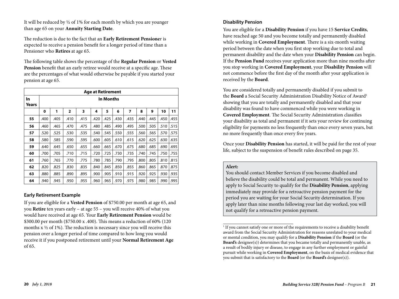It will be reduced by ½ of 1% for each month by which you are younger than age 65 on your **Annuity Starting Date**.

The reduction is due to the fact that an **Early Retirement Pensione**r is expected to receive a pension benefit for a longer period of time than a Pensioner who **Retires** at age 65.

The following table shows the percentage of the **Regular Pension** or **Vested Pension** benefit that an early retiree would receive at a specific age. These are the percentages of what would otherwise be payable if you started your pension at age 65.

| <b>Age at Retirement</b> |           |      |                |      |      |      |      |      |      |      |      |      |
|--------------------------|-----------|------|----------------|------|------|------|------|------|------|------|------|------|
| In<br>Years              | In Months |      |                |      |      |      |      |      |      |      |      |      |
|                          | 0         | 1    | $\overline{2}$ | 3    | 4    | 5    | 6    | 7    | 8    | 9    | 10   | 11   |
| 55                       | .400      | .405 | .410           | .415 | .420 | .425 | .430 | .435 | .440 | .445 | .450 | .455 |
| 56                       | .460      | .465 | .470           | .475 | .480 | .485 | .490 | .495 | .500 | .505 | .510 | .515 |
| 57                       | .520      | .525 | .530           | .535 | .540 | .545 | .550 | .555 | .560 | .565 | .570 | .575 |
| 58                       | .580      | .585 | .590           | .595 | .600 | .605 | .610 | .615 | .620 | .625 | .630 | .635 |
| 59                       | .640      | .645 | .650           | .655 | .660 | .665 | .670 | .675 | .680 | .685 | .690 | .695 |
| 60                       | .700      | .705 | .710           | .715 | .720 | .725 | .730 | .735 | .740 | .745 | .750 | .755 |
| 61                       | .760      | .765 | .770           | .775 | .780 | .785 | .790 | .795 | .800 | .805 | .810 | .815 |
| 62                       | .820      | .825 | .830           | .835 | .840 | .845 | .850 | .855 | .860 | .865 | .870 | .875 |
| 63                       | .880      | .885 | .890           | .895 | .900 | .905 | .910 | .915 | .920 | .925 | .930 | .935 |
| 64                       | .940      | .945 | .950           | .955 | .960 | .965 | .970 | .975 | .980 | .985 | .990 | .995 |

#### **Early Retirement Example**

If you are eligible for a **Vested Pension** of \$750.00 per month at age 65, and you **Retire** ten years early – at age 55 – you will receive 40% of what you would have received at age 65. Your **Early Retirement Pension** would be \$300.00 per month (\$750.00 x .400). This means a reduction of 60% (120 months  $x \frac{1}{2}$  of 1%). The reduction is necessary since you will receive this pension over a longer period of time compared to how long you would receive it if you postponed retirement until your **Normal Retirement Age** of 65.

#### **Disability Pension**

You are eligible for a **Disability Pension** if you have 15 **Service Credits**, have reached age 50 and you become totally and permanently disabled while working in **Covered Employment**. There is a six-month waiting period between the date when you first stop working due to total and permanent disability and the date when your **Disability Pension** can begin. If the **Pension Fund** receives your application more than nine months after you stop working in **Covered Employment**, your **Disability Pension** will not commence before the first day of the month after your application is received by the **Board**.

You are considered totally and permanently disabled if you submit to the **Board** a Social Security Administration Disability Notice of Award<sup>1</sup> showing that you are totally and permanently disabled and that your disability was found to have commenced while you were working in **Covered Employment**. The Social Security Administration classifies your disability as total and permanent if it sets your review for continuing eligibility for payments no less frequently than once every seven years, but no more frequently than once every five years.

Once your **Disability Pension** has started, it will be paid for the rest of your life, subject to the suspension of benefit rules described on page 35.

### **Alert:**

You should contact Member Services if you become disabled and believe the disability could be total and permanent. While you need to apply to Social Security to qualify for the **Disability Pension**, applying immediately may provide for a retroactive pension payment for the period you are waiting for your Social Security determination. If you apply later than nine months following your last day worked, you will not qualify for a retroactive pension payment.

<sup>&</sup>lt;sup>1</sup> If you cannot satisfy one or more of the requirements to receive a disability benefit award from the Social Security Administration for reasons unrelated to your medical or mental condition, you may qualify for a **Disability Pension** if the **Board** (or the **Board's** designee(s)) determines that you became totally and permanently unable, as a result of bodily injury or disease, to engage in any further employment or gainful pursuit while working in **Covered Employment**, on the basis of medical evidence that you submit that is satisfactory to the **Board** (or the **Board's** designee(s)).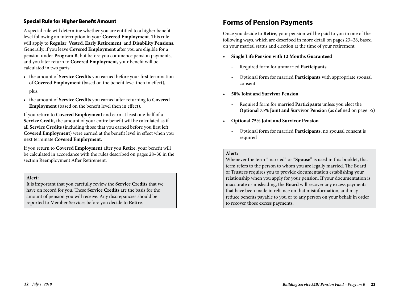## Special Rule for Higher Benefit Amount

A special rule will determine whether you are entitled to a higher benefit level following an interruption in your **Covered Employment**. This rule will apply to **Regular**, **Vested**, **Early Retirement**, and **Disability Pensions**. Generally, if you leave **Covered Employment** after you are eligible for a pension under **Program B**, but before you commence pension payments, and you later return to **Covered Employment**, your benefit will be calculated in two parts:

• the amount of **Service Credits** you earned before your first termination of **Covered Employment** (based on the benefit level then in effect),

plus

• the amount of **Service Credits** you earned after returning to **Covered Employment** (based on the benefit level then in effect).

If you return to **Covered Employment** and earn at least one-half of a **Service Credit**, the amount of your entire benefit will be calculated as if all **Service Credits** (including those that you earned before you first left **Covered Employment**) were earned at the benefit level in effect when you next terminate **Covered Employment**.

If you return to **Covered Employment** after you **Retire**, your benefit will be calculated in accordance with the rules described on pages 28–30 in the section Reemployment After Retirement.

#### **Alert:**

It is important that you carefully review the **Service Credits** that we have on record for you. These **Service Credits** are the basis for the amount of pension you will receive. Any discrepancies should be reported to Member Services before you decide to **Retire**.

# **Forms of Pension Payments**

Once you decide to **Retire**, your pension will be paid to you in one of the following ways, which are described in more detail on pages 23–28, based on your marital status and election at the time of your retirement:

- **• Single Life Pension with 12 Months Guaranteed**
	- Required form for unmarried **Participants**
	- Optional form for married **Participants** with appropriate spousal consent
- **50% Joint and Survivor Pension**
	- Required form for married **Participants** unless you elect the **Optional 75% Joint and Survivor Pensio**n (as defined on page 55)
- **Optional 75% Joint and Survivor Pension**
	- Optional form for married **Participants**; no spousal consent is required

### **Alert:**

Whenever the term "married" or "**Spouse**" is used in this booklet, that term refers to the person to whom you are legally married. The Board of Trustees requires you to provide documentation establishing your relationship when you apply for your pension. If your documentation is inaccurate or misleading, the **Board** will recover any excess payments that have been made in reliance on that misinformation, and may reduce benefits payable to you or to any person on your behalf in order to recover those excess payments.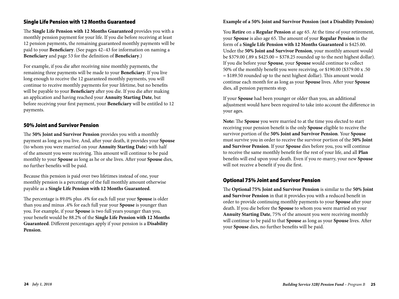### Single Life Pension with 12 Months Guaranteed

The **Single Life Pension with 12 Months Guaranteed** provides you with a monthly pension payment for your life. If you die before receiving at least 12 pension payments, the remaining guaranteed monthly payments will be paid to your **Beneficiary**. (See pages 42–43 for information on naming a **Beneficiary** and page 53 for the definition of **Beneficiary**.)

For example, if you die after receiving nine monthly payments, the remaining three payments will be made to your **Beneficiary**. If you live long enough to receive the 12 guaranteed monthly payments, you will continue to receive monthly payments for your lifetime, but no benefits will be payable to your **Beneficiary** after you die. If you die after making an application and having reached your **Annuity Starting Date**, but before receiving your first payment, your **Beneficiary** will be entitled to 12 payments.

### 50% Joint and Survivor Pension

The **50% Joint and Survivor Pension** provides you with a monthly payment as long as you live. And, after your death, it provides your **Spouse** (to whom you were married on your **Annuity Starting Date**) with half of the amount you were receiving. This amount will continue to be paid monthly to your **Spouse** as long as he or she lives. After your **Spouse** dies, no further benefits will be paid.

Because this pension is paid over two lifetimes instead of one, your monthly pension is a percentage of the full monthly amount otherwise payable as a **Single Life Pension with 12 Months Guaranteed**.

The percentage is 89.0% plus .4% for each full year your **Spouse** is older than you and minus .4% for each full year your **Spouse** is younger than you. For example, if your **Spouse** is two full years younger than you, your benefit would be 88.2% of the **Single Life Pension with 12 Months Guaranteed**. Different percentages apply if your pension is a **Disability Pension**.

#### **Example of a 50% Joint and Survivor Pension (not a Disability Pension)**

You **Retire** on a **Regular Pension** at age 65. At the time of your retirement, your **Spouse** is also age 65. The amount of your **Regular Pension** in the form of a **Single Life Pension with 12 Months Guaranteed** is \$425.00. Under the **50% Joint and Survivor Pension**, your monthly amount would be \$379.00 (.89 x \$425.00 = \$378.25 rounded up to the next highest dollar). If you die before your **Spouse**, your **Spouse** would continue to collect 50% of the monthly benefit you were receiving, or \$190.00 (\$379.00 x .50 = \$189.50 rounded up to the next highest dollar). This amount would continue each month for as long as your **Spouse** lives. After your **Spouse** dies, all pension payments stop.

If your **Spouse** had been younger or older than you, an additional adjustment would have been required to take into account the difference in your ages.

**Note:** The **Spouse** you were married to at the time you elected to start receiving your pension benefit is the only **Spouse** eligible to receive the survivor portion of the **50% Joint and Survivor Pension**. Your **Spouse** must survive you in order to receive the survivor portion of the **50% Joint and Survivor Pension**. If your **Spouse** dies before you, you will continue to receive the same monthly benefit for the rest of your life, and all **Plan** benefits will end upon your death. Even if you re-marry, your new **Spouse** will not receive a benefit if you die first.

#### Optional 75% Joint and Survivor Pension

The **Optional 75% Joint and Survivor Pension** is similar to the **50% Joint and Survivor Pension** in that it provides you with a reduced benefit in order to provide continuing monthly payments to your **Spouse** after your death. If you die before the **Spouse** to whom you were married on your **Annuity Starting Date**, 75% of the amount you were receiving monthly will continue to be paid to that **Spouse** as long as your **Spouse** lives. After your **Spouse** dies, no further benefits will be paid.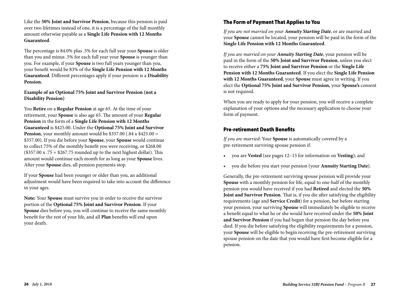Like the **50% Joint and Survivor Pension**, because this pension is paid over two lifetimes instead of one, it is a percentage of the full monthly amount otherwise payable as a **Single Life Pension with 12 Months Guaranteed**.

The percentage is 84.0% plus .5% for each full year your **Spouse** is older than you and minus .5% for each full year your **Spouse** is younger than you. For example, if your **Spouse** is two full years younger than you, your benefit would be 83% of the **Single Life Pension with 12 Months Guaranteed**. Different percentages apply if your pension is a **Disability Pension.**

#### **Example of an Optional 75% Joint and Survivor Pension (not a Disability Pension)**

You **Retire** on a **Regular Pension** at age 65. At the time of your retirement, your **Spouse** is also age 65. The amount of your **Regular Pension** in the form of a **Single Life Pension with 12 Months Guaranteed** is \$425.00. Under the **Optional 75% Joint and Survivor Pension**, your monthly amount would be \$357.00 (.84 x \$425.00 = \$357.00). If you die before your **Spouse**, your **Spouse** would continue to collect 75% of the monthly benefit you were receiving, or \$268.00  $($357.00 \times .75 = $267.75$  rounded up to the next highest dollar). This amount would continue each month for as long as your **Spouse** lives. After your **Spouse** dies, all pension payments stop.

If your **Spouse** had been younger or older than you, an additional adjustment would have been required to take into account the difference in your ages.

**Note:** Your **Spouse** must survive you in order to receive the survivor portion of the **Optional 75% Joint and Survivor Pension**. If your **Spouse** dies before you, you will continue to receive the same monthly benefit for the rest of your life, and all **Plan** benefits will end upon your death.

## The Form of Payment That Applies to You

*If you are not married on your Annuity Starting Date*, or are married and your **Spouse** cannot be located, your pension will be paid in the form of the **Single Life Pension with 12 Months Guaranteed**.

*If you are married on your Annuity Starting Date*, your pension will be paid in the form of the **50% Joint and Survivor Pension**, unless you elect to receive either a **75% Joint and Survivor Pension** or the **Single Life Pension with 12 Months Guaranteed**. If you elect the **Single Life Pension with 12 Months Guaranteed**, your **Spouse** must agree in writing. If you elect the **Optional 75% Joint and Survivor Pension,** your **Spouse's** consent is not required.

When you are ready to apply for your pension, you will receive a complete explanation of your options and the necessary application to choose your form of payment.

## Pre-retirement Death Benefits

*If you are married*: Your **Spouse** is automatically covered by a pre-retirement surviving spouse pension if:

- you are **Vested** (see pages 12–13 for information on **Vesting**); and
- you die before you start your pension (your **Annuity Starting Date**).

Generally, the pre-retirement surviving spouse pension will provide your **Spouse** with a monthly pension for life, equal to one-half of the monthly pension you would have received if you had **Retired** and elected the **50% Joint and Survivor Pension**. That is, if you die after satisfying the eligibility requirements (age and **Service Credit**) for a pension, but before starting your pension, your surviving **Spouse** will immediately be eligible to receive a benefit equal to what he or she would have received under the **50% Joint and Survivor Pension** if you had begun that pension the day before you died. If you die before satisfying the eligibility requirements for a pension, your **Spouse** will be eligible to begin receiving the pre-retirement surviving spouse pension on the date that you would have first become eligible for a pension.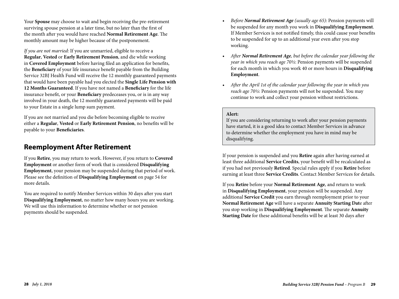Your **Spouse** may choose to wait and begin receiving the pre-retirement surviving spouse pension at a later time, but no later than the first of the month after you would have reached **Normal Retirement Age**. The monthly amount may be higher because of the postponement.

*If you are not married:* If you are unmarried, eligible to receive a **Regular**, **Vested** or **Early Retirement Pension**, and die while working in **Covered Employment** before having filed an application for benefits, the **Beneficiary** of your life insurance benefit payable from the Building Service 32BJ Health Fund will receive the 12 monthly guaranteed payments that would have been payable had you elected the **Single Life Pension with 12 Months Guaranteed**. If you have not named a **Beneficiary** for the life insurance benefit, or your **Beneficiary** predeceases you, or is in any way involved in your death, the 12 monthly guaranteed payments will be paid to your Estate in a single lump sum payment.

If you are not married and you die before becoming eligible to receive either a **Regular**, **Vested** or **Early Retirement Pension**, no benefits will be payable to your **Beneficiaries**.

# **Reemployment After Retirement**

If you **Retire**, you may return to work. However, if you return to **Covered Employment** or another form of work that is considered **Disqualifying Employment**, your pension may be suspended during that period of work. Please see the definition of **Disqualifying Employment** on page 54 for more details.

You are required to notify Member Services within 30 days after you start **Disqualifying Employment**, no matter how many hours you are working. We will use this information to determine whether or not pension payments should be suspended.

- *Before Normal Retirement Age (usually age 65)*: Pension payments will be suspended for any month you work in **Disqualifying Employment**. If Member Services is not notified timely, this could cause your benefits to be suspended for up to an additional year even after you stop working.
- *After Normal Retirement Age, but before the calendar year following the year in which you reach age 70½*: Pension payments will be suspended for each month in which you work 40 or more hours in **Disqualifying Employment**.
- *After the April 1st of the calendar year following the year in which you reach age 70½*: Pension payments will not be suspended. You may continue to work and collect your pension without restrictions.

### **Alert:**

If you are considering returning to work after your pension payments have started, it is a good idea to contact Member Services in advance to determine whether the employment you have in mind may be disqualifying.

If your pension is suspended and you **Retire** again after having earned at least three additional **Service Credits**, your benefit will be recalculated as if you had not previously **Retired**. Special rules apply if you **Retire** before earning at least three **Service Credits**. Contact Member Services for details.

If you **Retire** before your **Normal Retirement Age**, and return to work in **Disqualifying Employment**, your pension will be suspended. Any additional **Service Credit** you earn through reemployment prior to your **Normal Retirement Age** will have a separate **Annuity Starting Dat**e after you stop working in **Disqualifying Employment**. The separate **Annuity Starting Date** for these additional benefits will be at least 30 days after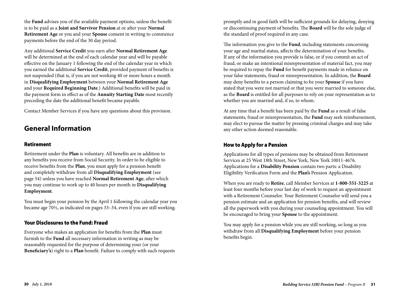the **Fund** advises you of the available payment options, unless the benefit is to be paid as a **Joint and Survivor Pension** at or after your **Normal Retirement Age** or you and your **Spouse** consent in writing to commence payments before the end of the 30 day period.

Any additional **Service Credit** you earn after **Normal Retirement Age** will be determined at the end of each calendar year and will be payable effective on the January 1 following the end of the calendar year in which you earned the additional **Service Credit**, provided payment of benefits is not suspended (that is, if you are not working 40 or more hours a month in **Disqualifying Employment** between your **Normal Retirement Age** and your **Required Beginning Date**.) Additional benefits will be paid in the payment form in effect as of the **Annuity Starting Date** most recently preceding the date the additional benefit became payable.

Contact Member Services if you have any questions about this provision.

# **General Information**

## Retirement

Retirement under the **Plan** is voluntary. All benefits are in addition to any benefits you receive from Social Security. In order to be eligible to receive benefits from the **Plan**, you must apply for a pension benefit and completely withdraw from all **Disqualifying Employment** (see page 54) unless you have reached **Normal Retirement Age**, after which you may continue to work up to 40 hours per month in **Disqualifying Employment**.

You must begin your pension by the April 1 following the calendar year you became age 70½, as indicated on pages 33–34, even if you are still working.

## Your Disclosures to the Fund: Fraud

Everyone who makes an application for benefits from the **Plan** must furnish to the **Fund** all necessary information in writing as may be reasonably requested for the purpose of determining your (or your **Beneficiary's**) right to a **Plan** benefit. Failure to comply with such requests promptly and in good faith will be sufficient grounds for delaying, denying or discontinuing payment of benefits. The **Board** will be the sole judge of the standard of proof required in any case.

The information you give to the **Fund**, including statements concerning your age and marital status, affects the determination of your benefits. If any of the information you provide is false, or if you commit an act of fraud, or make an intentional misrepresentation of material fact, you may be required to repay the **Fund** for benefit payments made in reliance on your false statements, fraud or misrepresentation. In addition, the **Board** may deny benefits to a person claiming to be your **Spouse** if you have stated that you were not married or that you were married to someone else, as the **Board** is entitled for all purposes to rely on your representation as to whether you are married and, if so, to whom.

At any time that a benefit has been paid by the **Fund** as a result of false statements, fraud or misrepresentation, the **Fund** may seek reimbursement, may elect to pursue the matter by pressing criminal charges and may take any other action deemed reasonable.

## How to Apply for a Pension

Applications for all types of pensions may be obtained from Retirement Services at 25 West 18th Street, New York, New York 10011-4676. Applications for a **Disability Pension** contain two parts: a Disability Eligibility Verification Form and the **Plan's** Pension Application.

When you are ready to **Retire**, call Member Services at **1-800-551-3225** at least four months before your last day of work to request an appointment with a Retirement Counselor. Your Retirement Counselor will send you a pension estimate and an application for pension benefits, and will review all the paperwork with you during your counseling appointment. You will be encouraged to bring your **Spouse** to the appointment.

You may apply for a pension while you are still working, so long as you withdraw from all **Disqualifying Employment** before your pension benefits begin.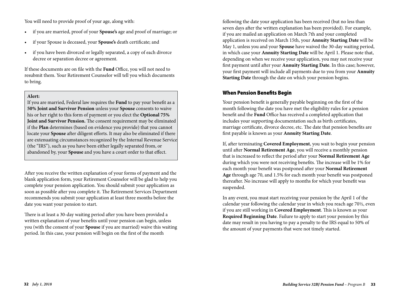You will need to provide proof of your age, along with:

- if you are married, proof of your **Spouse's** age and proof of marriage; or
- if your Spouse is deceased, your **Spouse's** death certificate; and
- if you have been divorced or legally separated, a copy of each divorce decree or separation decree or agreement.

If these documents are on file with the **Fund** Office, you will not need to resubmit them. Your Retirement Counselor will tell you which documents to bring.

### **Alert:**

If you are married, Federal law requires the **Fund** to pay your benefit as a **50% Joint and Survivor Pension** unless your **Spouse** consents to waive his or her right to this form of payment or you elect the **Optional 75% Joint and Survivor Pension.** The consent requirement may be eliminated if the **Plan** determines (based on evidence you provide) that you cannot locate your **Spouse** after diligent efforts. It may also be eliminated if there are extenuating circumstances recognized by the Internal Revenue Service (the "IRS"), such as you have been either legally separated from, or abandoned by, your **Spouse** and you have a court order to that effect.

After you receive the written explanation of your forms of payment and the blank application form, your Retirement Counselor will be glad to help you complete your pension application. You should submit your application as soon as possible after you complete it. The Retirement Services Department recommends you submit your application at least three months before the date you want your pension to start.

There is at least a 30-day waiting period after you have been provided a written explanation of your benefits until your pension can begin, unless you (with the consent of your **Spouse** if you are married) waive this waiting period. In this case, your pension will begin on the first of the month

following the date your application has been received (but no less than seven days after the written explanation has been provided). For example, if you are mailed an application on March 7th and your completed application is received on March 15th, your **Annuity Starting Date** will be May 1, unless you and your **Spouse** have waived the 30-day waiting period, in which case your **Annuity Starting Date** will be April 1. Please note that, depending on when we receive your application, you may not receive your first payment until after your **Annuity Starting Date**. In this case; however, your first payment will include all payments due to you from your **Annuity Starting Date** through the date on which your pension begins.

## When Pension Benefits Begin

Your pension benefit is generally payable beginning on the first of the month following the date you have met the eligibility rules for a pension benefit and the **Fund** Office has received a completed application that includes your supporting documentation such as birth certificates, marriage certificate, divorce decree, etc. The date that pension benefits are first payable is known as your **Annuity Starting Date**.

If, after terminating **Covered Employment**, you wait to begin your pension until after **Normal Retirement Age**, you will receive a monthly pension that is increased to reflect the period after your **Normal Retirement Age**  during which you were not receiving benefits. The increase will be 1% for each month your benefit was postponed after your **Normal Retirement Age** through age 70, and 1.5% for each month your benefit was postponed thereafter. No increase will apply to months for which your benefit was suspended.

In any event, you must start receiving your pension by the April 1 of the calendar year following the calendar year in which you reach age 70½, even if you are still working in **Covered Employment**. This is known as your **Required Beginning Date**. Failure to apply to start your pension by this date may result in you having to pay a penalty to the IRS equal to 50% of the amount of your payments that were not timely started.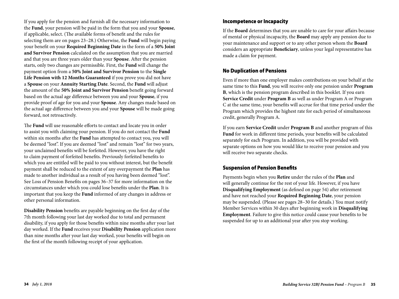If you apply for the pension and furnish all the necessary information to the **Fund**, your pension will be paid in the form that you and your **Spouse**, if applicable, select. (The available forms of benefit and the rules for selecting them are on pages 23–28.) Otherwise, the **Fund** will begin paying your benefit on your **Required Beginning Date** in the form of a **50% Joint and Survivor Pension** calculated on the assumption that you are married and that you are three years older than your **Spouse**. After the pension starts, only two changes are permissible. First, the **Fund** will change the payment option from a **50% Joint and Survivor Pension** to the **Single Life Pension with 12 Months Guaranteed** if you prove you did not have a **Spouse** on your **Annuity Starting Date**. Second, the **Fund** will adjust the amount of the **50% Joint and Survivor Pension** benefit going forward based on the actual age difference between you and your **Spouse**, if you provide proof of age for you and your **Spouse**. Any changes made based on the actual age difference between you and your **Spouse** will be made going forward, not retroactively.

The **Fund** will use reasonable efforts to contact and locate you in order to assist you with claiming your pension. If you do not contact the **Fund** within six months after the **Fund** has attempted to contact you, you will be deemed "lost". If you are deemed "lost" and remain "lost" for two years, your unclaimed benefits will be forfeited. However, you have the right to claim payment of forfeited benefits. Previously forfeited benefits to which you are entitled will be paid to you without interest, but the benefit payment shall be reduced to the extent of any overpayment the **Plan** has made to another individual as a result of you having been deemed "lost". See Loss of Pension Benefits on pages 36–37 for more information on the circumstances under which you could lose benefits under the **Plan**. It is important that you keep the **Fund** informed of any changes in address or other personal information.

**Disability Pension** benefits are payable beginning on the first day of the 7th month following your last day worked due to total and permanent disability, if you apply for those benefits within nine months after your last day worked. If the **Fund** receives your **Disability Pension** application more than nine months after your last day worked, your benefits will begin on the first of the month following receipt of your application.

### Incompetence or Incapacity

If the **Board** determines that you are unable to care for your affairs because of mental or physical incapacity, the **Board** may apply any pension due to your maintenance and support or to any other person whom the **Board** considers an appropriate **Beneficiary**, unless your legal representative has made a claim for payment.

## No Duplication of Pensions

Even if more than one employer makes contributions on your behalf at the same time to this **Fund**, you will receive only one pension under **Program B**, which is the pension program described in this booklet. If you earn **Service Credit** under **Program B** as well as under Program A or Program C at the same time, your benefits will accrue for that time period under the Program which provides the highest rate for each period of simultaneous credit, generally Program A.

If you earn **Service Credit** under **Program B** and another program of this **Fund** for work in different time periods, your benefits will be calculated separately for each Program. In addition, you will be provided with separate options on how you would like to receive your pension and you will receive two separate checks.

## Suspension of Pension Benefits

Payments begin when you **Retire** under the rules of the **Plan** and will generally continue for the rest of your life. However, if you have **Disqualifying Employment** (as defined on page 54) after retirement and have not reached your **Required Beginning Date**, your pension may be suspended. (Please see pages 28–30 for details.) You must notify Member Services within 30 days after beginning work in **Disqualifying Employment**. Failure to give this notice could cause your benefits to be suspended for up to an additional year after you stop working.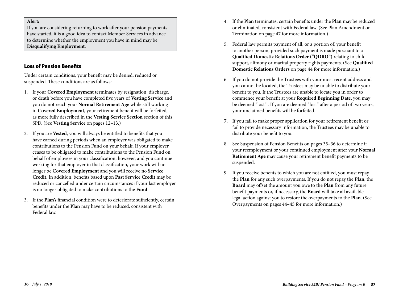#### **Alert:**

If you are considering returning to work after your pension payments have started, it is a good idea to contact Member Services in advance to determine whether the employment you have in mind may be **Disqualifying Employment**.

#### Loss of Pension Benefits

Under certain conditions, your benefit may be denied, reduced or suspended. These conditions are as follows:

- 1. If your **Covered Employment** terminates by resignation, discharge, or death before you have completed five years of **Vesting Service** and you do not reach your **Normal Retirement Age** while still working in **Covered Employment**, your retirement benefit will be forfeited, as more fully described in the **Vesting Service Section** section of this SPD. (See **Vesting Service** on pages 12–13.)
- 2. If you are **Vested**, you will always be entitled to benefits that you have earned during periods when an employer was obligated to make contributions to the Pension Fund on your behalf. If your employer ceases to be obligated to make contributions to the Pension Fund on behalf of employees in your classification; however, and you continue working for that employer in that classification, your work will no longer be **Covered Employment** and you will receive no **Service Credit**. In addition, benefits based upon **Past Service Credit** may be reduced or cancelled under certain circumstances if your last employer is no longer obligated to make contributions to the **Fund**.
- 3. If the **Plan's** financial condition were to deteriorate sufficiently, certain benefits under the **Plan** may have to be reduced, consistent with Federal law.
- 4. If the **Plan** terminates, certain benefits under the **Plan** may be reduced or eliminated, consistent with Federal law. (See Plan Amendment or Termination on page 47 for more information.)
- 5. Federal law permits payment of all, or a portion of, your benefit to another person, provided such payment is made pursuant to a **Qualified Domestic Relations Order ("QDRO")** relating to child support, alimony or marital property rights payments. (See **Qualified Domestic Relations Orders** on page 44 for more information.)
- 6. If you do not provide the Trustees with your most recent address and you cannot be located, the Trustees may be unable to distribute your benefit to you. If the Trustees are unable to locate you in order to commence your benefit at your **Required Beginning Date**, you may be deemed "lost" . If you are deemed "lost" after a period of two years, your unclaimed benefits will be forfeited.
- **7.** If you fail to make proper application for your retirement benefit or fail to provide necessary information, the Trustees may be unable to distribute your benefit to you.
- 8. See Suspension of Pension Benefits on pages 35–36 to determine if your reemployment or your continued employment after your **Normal Retirement Age** may cause your retirement benefit payments to be suspended.
- 9. If you receive benefits to which you are not entitled, you must repay the **Plan** for any such overpayments. If you do not repay the **Plan**, the **Board** may offset the amount you owe to the **Plan** from any future benefit payments or, if necessary, the **Board** will take all available legal action against you to restore the overpayments to the **Plan**. (See Overpayments on pages 44–45 for more information.)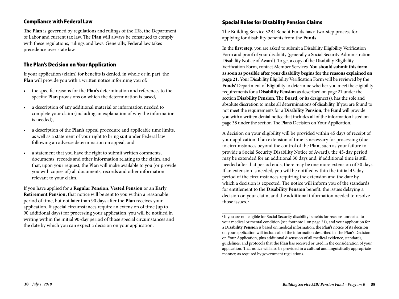## Compliance with Federal Law

**The Plan** is governed by regulations and rulings of the IRS, the Department of Labor and current tax law. The **Plan** will always be construed to comply with these regulations, rulings and laws. Generally, Federal law takes precedence over state law.

## The Plan's Decision on Your Application

If your application (claim) for benefits is denied, in whole or in part, the **Plan** will provide you with a written notice informing you of:

- the specific reasons for the **Plan's** determination and references to the specific **Plan** provisions on which the determination is based,
- a description of any additional material or information needed to complete your claim (including an explanation of why the information is needed),
- a description of the **Plan's** appeal procedure and applicable time limits, as well as a statement of your right to bring suit under Federal law following an adverse determination on appeal, and
- a statement that you have the right to submit written comments, documents, records and other information relating to the claim, and that, upon your request, the **Plan** will make available to you (or provide you with copies of) all documents, records and other information relevant to your claim.

If you have applied for a **Regular Pension**, **Vested Pension** or an **Early Retirement Pension,** that notice will be sent to you within a reasonable period of time, but not later than 90 days after the **Plan** receives your application. If special circumstances require an extension of time (up to 90 additional days) for processing your application, you will be notified in writing within the initial 90-day period of those special circumstances and the date by which you can expect a decision on your application.

### Special Rules for Disability Pension Claims

The Building Service 32BJ Benefit Funds has a two-step process for applying for disability benefits from the **Funds**.

In the **first step**, you are asked to submit a Disability Eligibility Verification Form and proof of your disability (generally a Social Security Administration Disability Notice of Award). To get a copy of the Disability Eligibility Verification Form, contact Member Services. **You should submit this form as soon as possible after your disability begins for the reasons explained on page 21.** Your Disability Eligibility Verification Form will be reviewed by the **Funds'** Department of Eligibility to determine whether you meet the eligibility requirements for a **Disability Pension** as described on page 21 under the section **Disability Pension**. The **Board,** or its designee(s), has the sole and absolute discretion to make all determinations of disability. If you are found to not meet the requirements for a **Disability Pension**, the **Fund** will provide you with a written denial notice that includes all of the information listed on page 38 under the section The Plan's Decision on Your Application.

A decision on your eligibility will be provided within 45 days of receipt of your application. If an extension of time is necessary for processing (due to circumstances beyond the control of the **Plan**, such as your failure to provide a Social Security Disability Notice of Award), the 45-day period may be extended for an additional 30 days and, if additional time is still needed after that period ends, there may be one more extension of 30 days. If an extension is needed, you will be notified within the initial 45-day period of the circumstances requiring the extension and the date by which a decision is expected. The notice will inform you of the standards for entitlement to the **Disability Pension** benefit, the issues delaying a decision on your claim, and the additional information needed to resolve those issues. <sup>2</sup>

<sup>&</sup>lt;sup>2</sup> If you are not eligible for Social Security disability benefits for reasons unrelated to your medical or mental condition (see footnote 1 on page 21), and your application for a **Disability Pension** is based on medical information, the **Plan's** notice of its decision on your application will include all of the information described in The **Plan's** Decision on Your Application, plus additional discussion of all medical evidence, standards, guidelines, and protocols that the **Plan** has received or used in the consideration of your application. That notice will also be provided in a cultural and linguistically appropriate manner, as required by government regulations.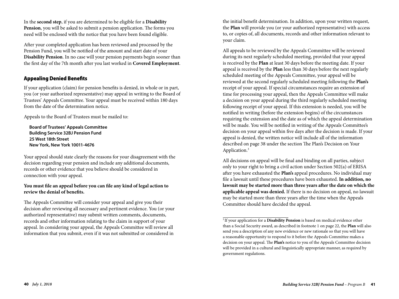In the **second step**, if you are determined to be eligible for a **Disability Pension**, you will be asked to submit a pension application. The forms you need will be enclosed with the notice that you have been found eligible.

After your completed application has been reviewed and processed by the Pension Fund, you will be notified of the amount and start date of your **Disability Pension**. In no case will your pension payments begin sooner than the first day of the 7th month after you last worked in **Covered Employment**.

## Appealing Denied Benefits

If your application (claim) for pension benefits is denied, in whole or in part, you (or your authorized representative) may appeal in writing to the Board of Trustees' Appeals Committee. Your appeal must be received within 180 days from the date of the determination notice.

Appeals to the Board of Trustees must be mailed to:

**Board of Trustees' Appeals Committee Building Service 32BJ Pension Fund 25 West 18th Street New York, New York 10011-4676**

Your appeal should state clearly the reasons for your disagreement with the decision regarding your pension and include any additional documents, records or other evidence that you believe should be considered in connection with your appeal.

### **You must file an appeal before you can file any kind of legal action to review the denial of benefits.**

The Appeals Committee will consider your appeal and give you their decision after reviewing all necessary and pertinent evidence. You (or your authorized representative) may submit written comments, documents, records and other information relating to the claim in support of your appeal. In considering your appeal, the Appeals Committee will review all information that you submit, even if it was not submitted or considered in

the initial benefit determination. In addition, upon your written request, the **Plan** will provide you (or your authorized representative) with access to, or copies of, all documents, records and other information relevant to your claim.

All appeals to be reviewed by the Appeals Committee will be reviewed during its next regularly scheduled meeting, provided that your appeal is received by the **Plan** at least 30 days before the meeting date. If your appeal is received by the **Plan** less than 30 days before the next regularly scheduled meeting of the Appeals Committee, your appeal will be reviewed at the second regularly scheduled meeting following the **Plan's** receipt of your appeal. If special circumstances require an extension of time for processing your appeal, then the Appeals Committee will make a decision on your appeal during the third regularly scheduled meeting following receipt of your appeal. If this extension is needed, you will be notified in writing (before the extension begins) of the circumstances requiring the extension and the date as of which the appeal determination will be made. You will be notified in writing of the Appeals Committee's decision on your appeal within five days after the decision is made. If your appeal is denied, the written notice will include all of the information described on page 38 under the section The Plan's Decision on Your Application.3

All decisions on appeal will be final and binding on all parties, subject only to your right to bring a civil action under Section 502(a) of ERISA after you have exhausted the **Plan's** appeal procedures. No individual may file a lawsuit until these procedures have been exhausted. **In addition, no lawsuit may be started more than three years after the date on which the applicable appeal was denied.** If there is no decision on appeal, no lawsuit may be started more than three years after the time when the Appeals Committee should have decided the appeal.

<sup>&</sup>lt;sup>3</sup> If your application for a **Disability Pension** is based on medical evidence other than a Social Security award, as described in footnote 1 on page 22, the **Plan** will also send you a description of any new evidence or new rationale so that you will have a reasonable opportunity to respond to it before the Appeals Committee makes a decision on your appeal. The **Plan's** notice to you of the Appeals Committee decision will be provided in a cultural and linguistically appropriate manner, as required by government regulations.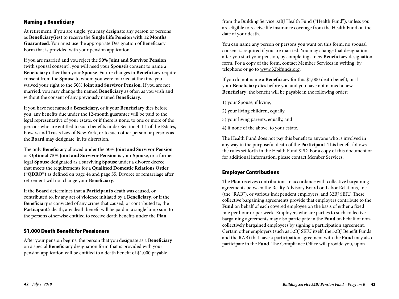### Naming a Beneficiary

At retirement, if you are single, you may designate any person or persons as **Beneficiary(ies)** to receive the **Single Life Pension with 12 Months Guaranteed**. You must use the appropriate Designation of Beneficiary Form that is provided with your pension application.

If you are married and you reject the **50% Joint and Survivor Pension**  (with spousal consent), you will need your **Spouse's** consent to name a **Beneficiary** other than your **Spouse**. Future changes in **Beneficiary** require consent from the **Spouse** to whom you were married at the time you waived your right to the **50% Joint and Survivor Pension**. If you are not married, you may change the named **Beneficiary** as often as you wish and without the consent of any previously named **Beneficiary**.

If you have not named a **Beneficiary**, or if your **Beneficiary** dies before you, any benefits due under the 12-month guarantee will be paid to the legal representative of your estate, or if there is none, to one or more of the persons who are entitled to such benefits under Section 4-1.1 of the Estates, Powers and Trusts Law of New York, or to such other person or persons as the **Board** may designate, in its discretion.

The only **Beneficiary** allowed under the **50% Joint and Survivor Pension** or **Optional 75% Joint and Survivor Pension** is your **Spouse**, or a former legal **Spouse** designated as a surviving **Spouse** under a divorce decree that meets the requirements for a **Qualified Domestic Relations Order ("QDRO")** as defined on page 44 and page 55. Divorce or remarriage after retirement will not change your **Beneficiary**.

If the **Board** determines that a **Participant's** death was caused, or contributed to, by any act of violence initiated by a **Beneficiary**, or if the **Beneficiary** is convicted of any crime that caused, or contributed to, the **Participant's** death, any death benefit will be paid in a single lump sum to the persons otherwise entitled to receive death benefits under the **Plan**.

## \$1,000 Death Benefit for Pensioners

After your pension begins, the person that you designate as a **Beneficiary** on a special **Beneficiary** designation form that is provided with your pension application will be entitled to a death benefit of \$1,000 payable

from the Building Service 32BJ Health Fund ("Health Fund"), unless you are eligible to receive life insurance coverage from the Health Fund on the date of your death.

You can name any person or persons you want on this form; no spousal consent is required if you are married. You may change that designation after you start your pension, by completing a new **Beneficiary** designation form. For a copy of the form, contact Member Services in writing, by telephone or go to www.32bjfunds.org.

If you do not name a **Beneficiary** for this \$1,000 death benefit, or if your **Beneficiary** dies before you and you have not named a new **Beneficiary**, the benefit will be payable in the following order:

1) your Spouse, if living,

2) your living children, equally,

3) your living parents, equally, and

4) if none of the above, to your estate.

The Health Fund does not pay this benefit to anyone who is involved in any way in the purposeful death of the **Participant**. This benefit follows the rules set forth in the Health Fund SPD. For a copy of this document or for additional information, please contact Member Services.

## Employer Contributions

The **Plan** receives contributions in accordance with collective bargaining agreements between the Realty Advisory Board on Labor Relations, Inc. (the "RAB"), or various independent employers, and 32BJ SEIU. These collective bargaining agreements provide that employers contribute to the **Fund** on behalf of each covered employee on the basis of either a fixed rate per hour or per week. Employers who are parties to such collective bargaining agreements may also participate in the **Fund** on behalf of noncollectively bargained employees by signing a participation agreement. Certain other employers (such as 32BJ SEIU itself, the 32BJ Benefit Funds and the RAB) that have a participation agreement with the **Fund** may also participate in the **Fund**. The Compliance Office will provide you, upon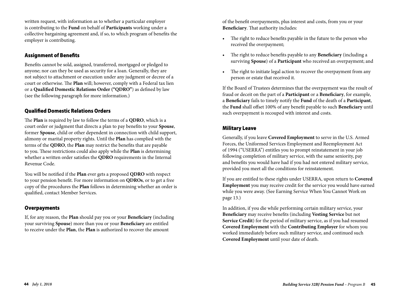written request, with information as to whether a particular employer is contributing to the **Fund** on behalf of **Participants** working under a collective bargaining agreement and, if so, to which program of benefits the employer is contributing.

## Assignment of Benefits

Benefits cannot be sold, assigned, transferred, mortgaged or pledged to anyone; nor can they be used as security for a loan. Generally, they are not subject to attachment or execution under any judgment or decree of a court or otherwise. The **Plan** will; however, comply with a Federal tax lien or a **Qualified Domestic Relations Order ("QDRO"**) as defined by law (see the following paragraph for more information.)

## Qualified Domestic Relations Orders

The **Plan** is required by law to follow the terms of a **QDRO**, which is a court order or judgment that directs a plan to pay benefits to your **Spouse**, former **Spouse**, child or other dependent in connection with child support, alimony or marital property rights. Until the **Plan** has complied with the terms of the **QDRO**, the **Plan** may restrict the benefits that are payable to you. These restrictions could also apply while the **Plan** is determining whether a written order satisfies the **QDRO** requirements in the Internal Revenue Code.

You will be notified if the **Plan** ever gets a proposed **QDRO** with respect to your pension benefit. For more information on **QDROs**, or to get a free copy of the procedures the **Plan** follows in determining whether an order is qualified, contact Member Services.

## **Overpayments**

If, for any reason, the **Plan** should pay you or your **Beneficiary** (including your surviving **Spouse**) more than you or your **Beneficiary** are entitled to receive under the **Plan**, the **Plan** is authorized to recover the amount

of the benefit overpayments, plus interest and costs, from you or your **Beneficiary**. That authority includes:

- The right to reduce benefits payable in the future to the person who received the overpayment;
- The right to reduce benefits payable to any **Beneficiary** (including a surviving **Spouse**) of a **Participant** who received an overpayment; and
- The right to initiate legal action to recover the overpayment from any person or estate that received it.

If the Board of Trustees determines that the overpayment was the result of fraud or deceit on the part of a **Participant** or a **Beneficiary**, for example, a **Beneficiary** fails to timely notify the **Fund** of the death of a **Participant**, the **Fund** shall offset 100% of any benefit payable to such **Beneficiary** until such overpayment is recouped with interest and costs.

## Military Leave

Generally, if you leave **Covered Employment** to serve in the U.S. Armed Forces, the Uniformed Services Employment and Reemployment Act of 1994 ("USERRA") entitles you to prompt reinstatement in your job following completion of military service, with the same seniority, pay and benefits you would have had if you had not entered military service, provided you meet all the conditions for reinstatement.

If you are entitled to these rights under USERRA, upon return to **Covered Employment** you may receive credit for the service you would have earned while you were away. (See Earning Service When You Cannot Work on page 13.)

In addition, if you die while performing certain military service, your **Beneficiary** may receive benefits (including **Vesting Service** but not **Service Credit**) for the period of military service, as if you had resumed **Covered Employment** with the **Contributing Employer** for whom you worked immediately before such military service, and continued such **Covered Employment** until your date of death.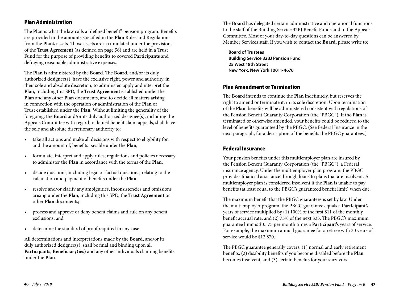### Plan Administration

The **Plan** is what the law calls a "defined benefit" pension program. Benefits are provided in the amounts specified in the **Plan** Rules and Regulations from the **Plan's** assets. Those assets are accumulated under the provisions of the **Trust Agreement** (as defined on page 56) and are held in a Trust Fund for the purpose of providing benefits to covered **Participants** and defraying reasonable administrative expenses.

The **Plan** is administered by the **Board**. The **Board**, and/or its duly authorized designee(s), have the exclusive right, power and authority, in their sole and absolute discretion, to administer, apply and interpret the **Plan**, including this SPD, the **Trust Agreement** established under the **Plan** and any other **Plan** documents, and to decide all matters arising in connection with the operation or administration of the **Plan** or Trust established under the **Plan**. Without limiting the generality of the foregoing, the **Board** and/or its duly authorized designee(s), including the Appeals Committee with regard to denied benefit claim appeals, shall have the sole and absolute discretionary authority to:

- take all actions and make all decisions with respect to eligibility for, and the amount of, benefits payable under the **Plan**;
- formulate, interpret and apply rules, regulations and policies necessary to administer the **Plan** in accordance with the terms of the **Plan**;
- decide questions, including legal or factual questions, relating to the calculation and payment of benefits under the **Plan**;
- resolve and/or clarify any ambiguities, inconsistencies and omissions arising under the **Plan**, including this SPD, the **Trust Agreement** or other **Plan** documents;
- process and approve or deny benefit claims and rule on any benefit exclusions; and
- determine the standard of proof required in any case.

All determinations and interpretations made by the **Board**, and/or its duly authorized designee(s), shall be final and binding upon all **Participants**, **Beneficiary(ies)** and any other individuals claiming benefits under the **Plan**.

The **Board** has delegated certain administrative and operational functions to the staff of the Building Service 32BJ Benefit Funds and to the Appeals Committee. Most of your day-to-day questions can be answered by Member Services staff. If you wish to contact the **Board**, please write to:

**Board of Trustees Building Service 32BJ Pension Fund 25 West 18th Street New York, New York 10011-4676**

## Plan Amendment or Termination

The **Board** intends to continue the **Plan** indefinitely, but reserves the right to amend or terminate it, in its sole discretion. Upon termination of the **Plan**, benefits will be administered consistent with regulations of the Pension Benefit Guaranty Corporation (the "PBGC"). If the **Plan** is terminated or otherwise amended, your benefits could be reduced to the level of benefits guaranteed by the PBGC. (See Federal Insurance in the next paragraph, for a description of the benefits the PBGC guarantees.)

### Federal Insurance

Your pension benefits under this multiemployer plan are insured by the Pension Benefit Guaranty Corporation (the "PBGC"), a Federal insurance agency. Under the multiemployer plan program, the PBGC provides financial assistance through loans to plans that are insolvent. A multiemployer plan is considered insolvent if the **Plan** is unable to pay benefits (at least equal to the PBGC's guaranteed benefit limit) when due.

The maximum benefit that the PBGC guarantees is set by law. Under the multiemployer program, the PBGC guarantee equals a **Participant's** years of service multiplied by (1) 100% of the first \$11 of the monthly benefit accrual rate; and (2) 75% of the next \$33. The PBGC's maximum guarantee limit is \$35.75 per month times a **Participant's** years of service. For example, the maximum annual guarantee for a retiree with 30 years of service would be \$12,870.

The PBGC guarantee generally covers: (1) normal and early retirement benefits; (2) disability benefits if you become disabled before the **Plan** becomes insolvent; and (3) certain benefits for your survivors.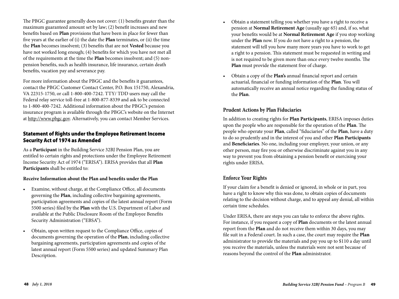The PBGC guarantee generally does not cover: (1) benefits greater than the maximum guaranteed amount set by law; (2) benefit increases and new benefits based on **Plan** provisions that have been in place for fewer than five years at the earlier of (i) the date the **Plan** terminates, or (ii) the time the **Plan** becomes insolvent; (3) benefits that are not **Vested** because you have not worked long enough; (4) benefits for which you have not met all of the requirements at the time the **Plan** becomes insolvent; and (5) nonpension benefits, such as health insurance, life insurance, certain death benefits, vacation pay and severance pay.

For more information about the PBGC and the benefits it guarantees, contact the PBGC Customer Contact Center, P.O. Box 151750, Alexandria, VA 22315-1750, or call 1-800-400-7242. TTY/ TDD users may call the Federal relay service toll-free at 1-800-877-8339 and ask to be connected to 1-800-400-7242. Additional information about the PBGC's pension insurance program is available through the PBGC's website on the Internet at http://www.pbgc.gov. Alternatively, you can contact Member Services.

## Statement of Rights under the Employee Retirement Income Security Act of 1974 as Amended

As a **Participant** in the Building Service 32BJ Pension Plan, you are entitled to certain rights and protections under the Employee Retirement Income Security Act of 1974 ("ERISA"). ERISA provides that all **Plan Participants** shall be entitled to:

#### **Receive Information about the Plan and benefits under the Plan**

- Examine, without charge, at the Compliance Office, all documents governing the **Plan**, including collective bargaining agreements, participation agreements and copies of the latest annual report (Form 5500 series) filed by the **Plan** with the U.S. Department of Labor and available at the Public Disclosure Room of the Employee Benefits Security Administration ("EBSA").
- Obtain, upon written request to the Compliance Office, copies of documents governing the operation of the **Plan**, including collective bargaining agreements, participation agreements and copies of the latest annual report (Form 5500 series) and updated Summary Plan Description.
- Obtain a statement telling you whether you have a right to receive a pension at **Normal Retirement Age** (usually age 65) and, if so, what your benefits would be at **Normal Retirement Age** if you stop working under the **Plan** now. If you do not have a right to a pension, the statement will tell you how many more years you have to work to get a right to a pension. This statement must be requested in writing and is not required to be given more than once every twelve months. The **Plan** must provide the statement free of charge.
- Obtain a copy of the **Plan's** annual financial report and certain actuarial, financial or funding information of the **Plan**. You will automatically receive an annual notice regarding the funding status of the **Plan**.

#### **Prudent Actions by Plan Fiduciaries**

In addition to creating rights for **Plan Participants**, ERISA imposes duties upon the people who are responsible for the operation of the **Plan**. The people who operate your **Plan**, called "fiduciaries" of the **Plan**, have a duty to do so prudently and in the interest of you and other **Plan Participants**  and **Beneficiaries**. No one, including your employer, your union, or any other person, may fire you or otherwise discriminate against you in any way to prevent you from obtaining a pension benefit or exercising your rights under ERISA.

## **Enforce Your Rights**

If your claim for a benefit is denied or ignored, in whole or in part, you have a right to know why this was done, to obtain copies of documents relating to the decision without charge, and to appeal any denial, all within certain time schedules.

Under ERISA, there are steps you can take to enforce the above rights. For instance, if you request a copy of **Plan** documents or the latest annual report from the **Plan** and do not receive them within 30 days, you may file suit in a Federal court. In such a case, the court may require the **Plan** administrator to provide the materials and pay you up to \$110 a day until you receive the materials, unless the materials were not sent because of reasons beyond the control of the **Plan** administrator.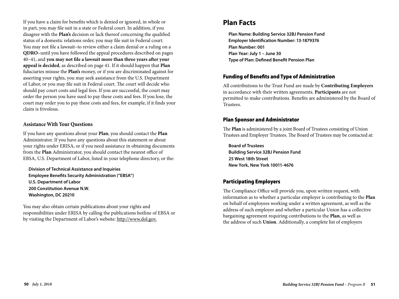If you have a claim for benefits which is denied or ignored, in whole or in part, you may file suit in a state or Federal court. In addition, if you disagree with the **Plan's** decision or lack thereof concerning the qualified status of a domestic relations order, you may file suit in Federal court. You may not file a lawsuit–to review either a claim denial or a ruling on a **QDRO**–until you have followed the appeal procedures described on pages 40–41, and **you may not file a lawsuit more than three years after your appeal is decided**, as described on page 41. If it should happen that **Plan** fiduciaries misuse the **Plan's** money, or if you are discriminated against for asserting your rights, you may seek assistance from the U.S. Department of Labor, or you may file suit in Federal court. The court will decide who should pay court costs and legal fees. If you are successful, the court may order the person you have sued to pay these costs and fees. If you lose, the court may order you to pay these costs and fees, for example, if it finds your claim is frivolous.

#### **Assistance With Your Questions**

If you have any questions about your **Plan**, you should contact the **Plan** Administrator. If you have any questions about this statement or about your rights under ERISA, or if you need assistance in obtaining documents from the **Plan** Administrator, you should contact the nearest office of EBSA, U.S. Department of Labor, listed in your telephone directory, or the:

**Division of Technical Assistance and Inquiries Employee Benefits Security Administration ("EBSA") U.S. Department of Labor 200 Constitution Avenue N.W. Washington, DC 20210**

You may also obtain certain publications about your rights and responsibilities under ERISA by calling the publications hotline of EBSA or by visiting the Department of Labor's website: http://www.dol.gov.

# **Plan Facts**

**Plan Name: Building Service 32BJ Pension Fund Employer Identification Number: 13-1879376 Plan Number: 001 Plan Year: July 1 – June 30 Type of Plan: Defined Benefit Pension Plan**

## Funding of Benefits and Type of Administration

All contributions to the Trust Fund are made by **Contributing Employers** in accordance with their written agreements. **Participants** are not permitted to make contributions. Benefits are administered by the Board of Trustees.

## Plan Sponsor and Administrator

The **Plan** is administered by a joint Board of Trustees consisting of Union Trustees and Employer Trustees. The Board of Trustees may be contacted at:

**Board of Trustees Building Service 32BJ Pension Fund 25 West 18th Street New York, New York 10011-4676**

## Participating Employers

The Compliance Office will provide you, upon written request, with information as to whether a particular employer is contributing to the **Plan** on behalf of employees working under a written agreement, as well as the address of such employer and whether a particular Union has a collective bargaining agreement requiring contributions to the **Plan**, as well as the address of such **Union**. Additionally, a complete list of employers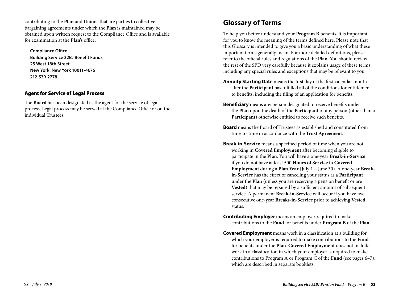contributing to the **Plan** and Unions that are parties to collective bargaining agreements under which the **Plan** is maintained may be obtained upon written request to the Compliance Office and is available for examination at the **Plan's** office:

**Compliance Office**

**Building Service 32BJ Benefit Funds 25 West 18th Street New York, New York 10011-4676 212-539-2778**

## Agent for Service of Legal Process

The **Board** has been designated as the agent for the service of legal process. Legal process may be served at the Compliance Office or on the individual Trustees.

# **Glossary of Terms**

To help you better understand your **Program B** benefits, it is important for you to know the meaning of the terms defined here. Please note that this Glossary is intended to give you a basic understanding of what these important terms generally mean. For more detailed definitions, please refer to the official rules and regulations of the **Plan**. You should review the rest of the SPD very carefully because it explains usage of these terms, including any special rules and exceptions that may be relevant to you.

- **Annuity Starting Date** means the first day of the first calendar month after the **Participant** has fulfilled all of the conditions for entitlement to benefits, including the filing of an application for benefits.
- **Beneficiary** means any person designated to receive benefits under the **Plan** upon the death of the **Participant** or any person (other than a **Participant**) otherwise entitled to receive such benefits.
- **Board** means the Board of Trustees as established and constituted from time-to-time in accordance with the **Trust Agreement**.
- **Break-in-Service** means a specified period of time when you are not working in **Covered Employment** after becoming eligible to participate in the **Plan**. You will have a one-year **Break-in-Service** if you do not have at least 500 **Hours of Service** in **Covered Employment** during a **Plan Year** (July 1 – June 30). A one-year **Breakin-Service** has the effect of canceling your status as a **Participant** under the **Plan** (unless you are receiving a pension benefit or are **Vested**) that may be repaired by a sufficient amount of subsequent service. A permanent **Break-in-Service** will occur if you have five consecutive one-year **Breaks-in-Service** prior to achieving **Vested** status.
- **Contributing Employer** means an employer required to make contributions to the **Fund** for benefits under **Program B** of the **Plan.**
- **Covered Employment** means work in a classification at a building for which your employer is required to make contributions to the **Fund** for benefits under the **Plan**. **Covered Employment** does not include work in a classification in which your employer is required to make contributions to Program A or Program C of the **Fund** (see pages 6–7), which are described in separate booklets.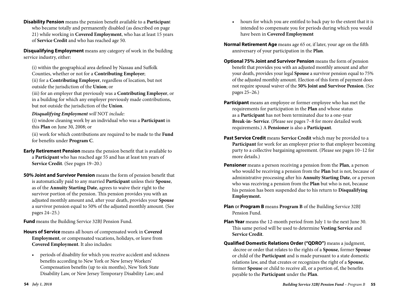**Disability Pension** means the pension benefit available to a **Participan**t who became totally and permanently disabled (as described on page 21) while working in **Covered Employment**, who has at least 15 years of **Service Credit** and who has reached age 50.

**Disqualifying Employment** means any category of work in the building service industry, either:

(i) within the geographical area defined by Nassau and Suffolk

Counties, whether or not for a **Contributing Employer**;

 (ii) for a **Contributing Employer**, regardless of location, but not outside the jurisdiction of the **Union**; or

 (iii) for an employer that previously was a **Contributing Employer**, or in a building for which any employer previously made contributions, but not outside the jurisdiction of the **Union**.

### *Disqualifying Employment will* NOT *include:*

 (i) window cleaning work by an individual who was a **Participant** in this **Plan** on June 30, 2008; or

(ii) work for which contributions are required to be made to the **Fund** for benefits under **Program C**.

- **Early Retirement Pension** means the pension benefit that is available to a **Participant** who has reached age 55 and has at least ten years of **Service Credit**. (See pages 19–20.)
- **50% Joint and Survivor Pension** means the form of pension benefit that is automatically paid to any married **Participant** unless their **Spouse**, as of the **Annuity Starting Date**, agrees to waive their right to the survivor portion of the pension. This pension provides you with an adjusted monthly amount and, after your death, provides your **Spouse** a survivor pension equal to 50% of the adjusted monthly amount. (See pages 24–25.)

**Fund** means the Building Service 32BJ Pension Fund.

- **Hours of Service** means all hours of compensated work in **Covered Employment**, or compensated vacations, holidays, or leave from **Covered Employment**. It also includes:
	- periods of disability for which you receive accident and sickness benefits according to New York or New Jersey Workers' Compensation benefits (up to six months), New York State Disability Law, or New Jersey Temporary Disability Law; and

• hours for which you are entitled to back pay to the extent that it is intended to compensate you for periods during which you would have been in **Covered Employment**

**Normal Retirement Age** means age 65 or, if later, your age on the fifth anniversary of your participation in the **Plan**.

- **Optional 75% Joint and Survivor Pension** means the form of pension benefit that provides you with an adjusted monthly amount and after your death, provides your legal **Spouse** a survivor pension equal to 75% of the adjusted monthly amount. Election of this form of payment does not require spousal waiver of the **50% Joint and Survivor Pension**. (See pages 25–26.)
- **Participant** means an employee or former employee who has met the requirements for participation in the **Plan** and whose status as a **Participant** has not been terminated due to a one-year **Break-in- Service**. (Please see pages 7–8 for more detailed work requirements.) A **Pensioner** is also a **Participant**.
- **Past Service Credit** means **Service Credit** which may be provided to a **Participant** for work for an employer prior to that employer becoming party to a collective bargaining agreement. (Please see pages 10–12 for more details.)
- **Pensioner** means a person receiving a pension from the **Plan**, a person who would be receiving a pension from the **Plan** but is not, because of administrative processing after his **Annuity Starting Date**, or a person who was receiving a pension from the **Plan** but who is not, because his pension has been suspended due to his return to **Disqualifying Employment.**
- **Plan** or **Program B** means **Program B** of the Building Service 32BJ Pension Fund.
- **Plan Year** means the 12-month period from July 1 to the next June 30. This same period will be used to determine **Vesting Service** and **Service Credit**.
- **Qualified Domestic Relations Order ("QDRO")** means a judgment, decree or order that relates to the rights of a **Spouse**, former **Spouse** or child of the **Participant** and is made pursuant to a state domestic relations law, and that creates or recognizes the right of a **Spouse**, former **Spouse** or child to receive all, or a portion of, the benefits payable to the **Participant** under the **Plan**.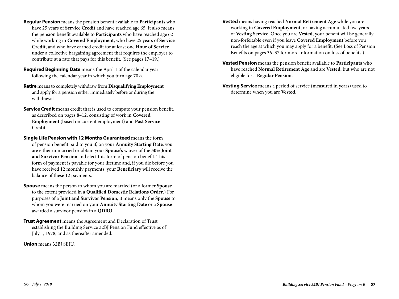- **Regular Pension** means the pension benefit available to **Participants** who have 25 years of **Service Credit** and have reached age 65. It also means the pension benefit available to **Participants** who have reached age 62 while working in **Covered Employment**, who have 25 years of **Service Credit**, and who have earned credit for at least one **Hour of Service** under a collective bargaining agreement that requires the employer to contribute at a rate that pays for this benefit. (See pages 17–19.)
- **Required Beginning Date** means the April 1 of the calendar year following the calendar year in which you turn age 70½.
- **Retire** means to completely withdraw from **Disqualifying Employment** and apply for a pension either immediately before or during the withdrawal.
- **Service Credit** means credit that is used to compute your pension benefit, as described on pages 8–12, consisting of work in **Covered Employment** (based on current employment) and **Past Service Credit**.
- **Single Life Pension with 12 Months Guaranteed** means the form of pension benefit paid to you if, on your **Annuity Starting Date**, you are either unmarried or obtain your **Spouse's** waiver of the **50% Joint and Survivor Pension** and elect this form of pension benefit. This form of payment is payable for your lifetime and, if you die before you have received 12 monthly payments, your **Beneficiary** will receive the balance of these 12 payments.
- **Spouse** means the person to whom you are married (or a former **Spouse** to the extent provided in a **Qualified Domestic Relations Order**.) For purposes of a **Joint and Survivor Pension**, it means only the **Spouse** to whom you were married on your **Annuity Starting Date** or a **Spouse** awarded a survivor pension in a **QDRO**.
- **Trust Agreement** means the Agreement and Declaration of Trust establishing the Building Service 32BJ Pension Fund effective as of July 1, 1978, and as thereafter amended.

**Union** means 32BJ SEIU.

- **Vested** means having reached **Normal Retirement Age** while you are working in **Covered Employment**, or having accumulated five years of **Vesting Service**. Once you are **Vested**, your benefit will be generally non-forfeitable even if you leave **Covered Employment** before you reach the age at which you may apply for a benefit. (See Loss of Pension Benefits on pages 36–37 for more information on loss of benefits.)
- **Vested Pension** means the pension benefit available to **Participants** who have reached **Normal Retirement Age** and are **Vested**, but who are not eligible for a **Regular Pension**.
- **Vesting Service** means a period of service (measured in years) used to determine when you are **Vested**.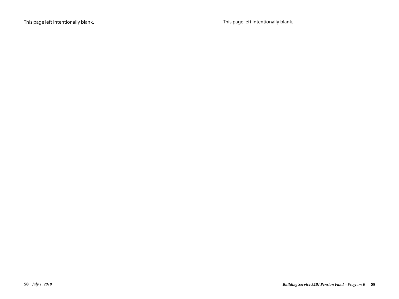This page left intentionally blank. This page left intentionally blank.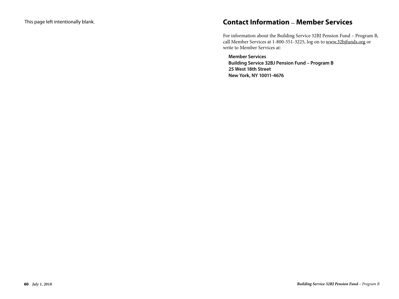## **Contact Information \_ Member Services**

For information about the Building Service 32BJ Pension Fund – Program B, call Member Services at 1-800-551-3225, log on to www.32bjfunds.org or write to Member Services at:

**Member Services Building Service 32BJ Pension Fund – Program B 25 West 18th Street New York, NY 10011-4676**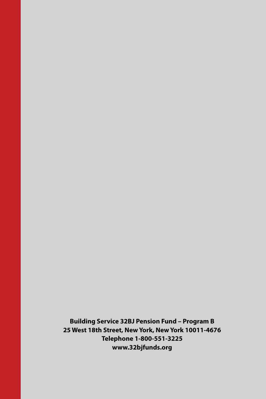**Building Service 32BJ Pension Fund – Program B 25 West 18th Street, New York, New York 10011-4676 Telephone 1-800-551-3225 www.32bjfunds.org**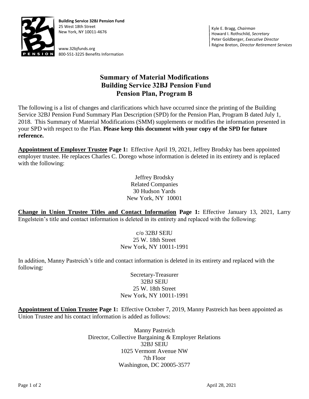

**Building Service 32BJ Pension Fund** 25 West 18th Street New York, NY 10011-4676

www.32bjfunds.org 800-551-3225 Benefits Information

Kyle E. Bragg, *Chairman* Howard I. Rothschild, *Secretary* Peter Goldberger, *Executive Director* Régine Breton, *Director Retirement Services*

## **Summary of Material Modifications Building Service 32BJ Pension Fund Pension Plan, Program B**

The following is a list of changes and clarifications which have occurred since the printing of the Building Service 32BJ Pension Fund Summary Plan Description (SPD) for the Pension Plan, Program B dated July 1, 2018. This Summary of Material Modifications (SMM) supplements or modifies the information presented in your SPD with respect to the Plan. **Please keep this document with your copy of the SPD for future reference.**

**Appointment of Employer Trustee Page 1:** Effective April 19, 2021, Jeffrey Brodsky has been appointed employer trustee. He replaces Charles C. Dorego whose information is deleted in its entirety and is replaced with the following:

> Jeffrey Brodsky Related Companies 30 Hudson Yards New York, NY 10001

**Change in Union Trustee Titles and Contact Information Page 1:** Effective January 13, 2021, Larry Engelstein's title and contact information is deleted in its entirety and replaced with the following:

> c/o 32BJ SEIU 25 W. 18th Street New York, NY 10011-1991

In addition, Manny Pastreich's title and contact information is deleted in its entirety and replaced with the following:

Secretary-Treasurer 32BJ SEIU 25 W. 18th Street New York, NY 10011-1991

**Appointment of Union Trustee Page 1:** Effective October 7, 2019, Manny Pastreich has been appointed as Union Trustee and his contact information is added as follows:

> Manny Pastreich Director, Collective Bargaining & Employer Relations 32BJ SEIU 1025 Vermont Avenue NW 7th Floor Washington, DC 20005-3577